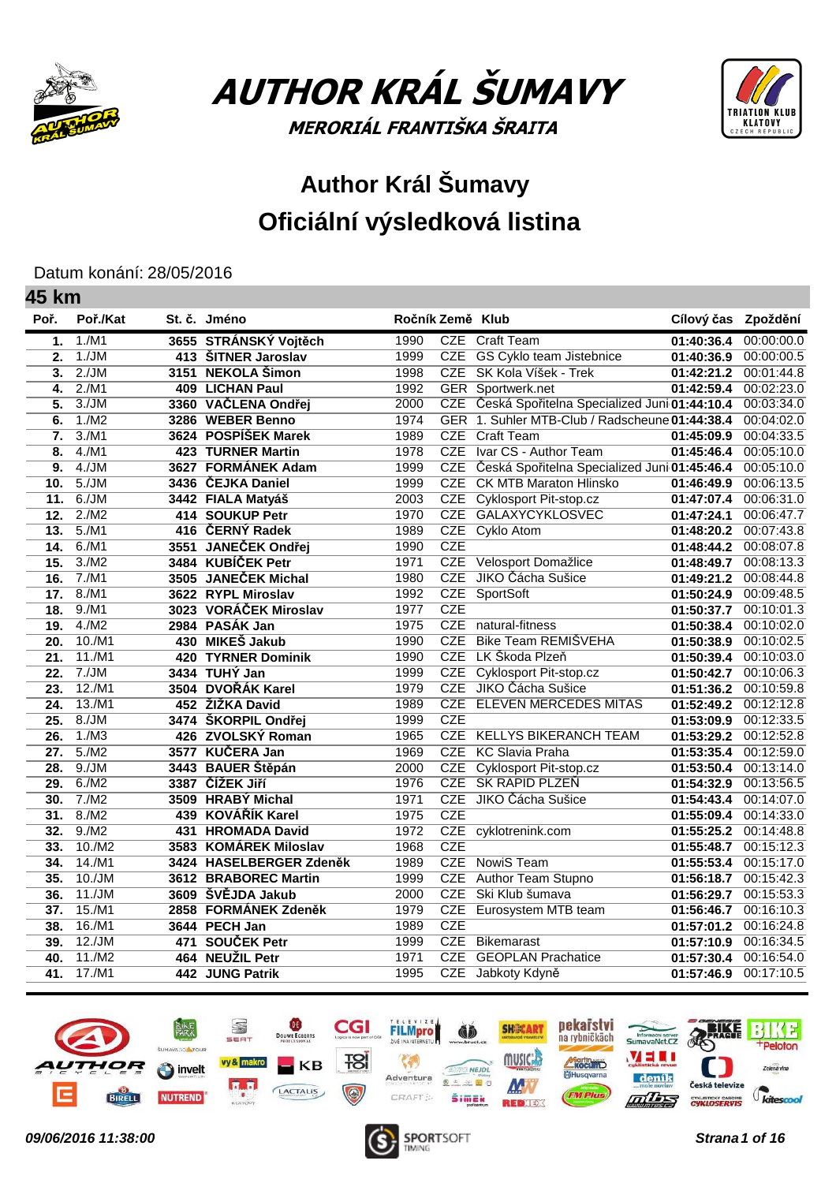

**45 km**

AUTHOR KRÁL ŠUMAVY MERORIÁL FRANTIŠKA ŠRAITA



## **Author Král Šumavy Oficiální výsledková listina**

Datum konání: 28/05/2016

| וווא טד                   |          |     |                           |                  |            |                                                |                     |            |
|---------------------------|----------|-----|---------------------------|------------------|------------|------------------------------------------------|---------------------|------------|
| Poř.                      | Poř./Kat |     | St. č. Jméno              | Ročník Země Klub |            |                                                | Cílový čas Zpoždění |            |
| 1.                        | 1./M1    |     | 3655 STRÁNSKÝ Vojtěch     | 1990             |            | CZE Craft Team                                 | 01:40:36.4          | 00:00:00.0 |
| 2.                        | 1./JM    |     | 413 ŠITNER Jaroslav       | 1999             | CZE        | GS Cyklo team Jistebnice                       | 01:40:36.9          | 00:00:00.5 |
| $\overline{3}$ .          | 2./JM    |     | 3151 NEKOLA Šimon         | 1998             | CZE        | SK Kola Víšek - Trek                           | 01:42:21.2          | 00:01:44.8 |
| 4.                        | 2./M1    |     | 409 LICHAN Paul           | 1992             |            | <b>GER</b> Sportwerk.net                       | 01:42:59.4          | 00:02:23.0 |
| 5.                        | 3./JM    |     | 3360 VAČLENA Ondřej       | 2000             | CZE        | Česká Spořitelna Specialized Juni 01:44:10.4   |                     | 00:03:34.0 |
| 6.                        | 1./M2    |     | 3286 WEBER Benno          | 1974             |            | GER 1. Suhler MTB-Club / Radscheune 01:44:38.4 |                     | 00:04:02.0 |
| 7.                        | 3./M1    |     | 3624 POSPÍŠEK Marek       | 1989             |            | CZE Craft Team                                 | 01:45:09.9          | 00:04:33.5 |
| $\overline{\mathbf{8}}$ . | 4./M1    |     | <b>423 TURNER Martin</b>  | 1978             | CZE        | Ivar CS - Author Team                          | 01:45:46.4          | 00:05:10.0 |
| 9.                        | 4./JM    |     | 3627 FORMÁNEK Adam        | 1999             | <b>CZE</b> | Česká Spořitelna Specialized Juni 01:45:46.4   |                     | 00:05:10.0 |
| 10.                       | 5./JM    |     | 3436 ČEJKA Daniel         | 1999             |            | <b>CZE</b> CK MTB Maraton Hlinsko              | 01:46:49.9          | 00:06:13.5 |
| 11.                       | 6./JM    |     | 3442 FIALA Matyáš         | 2003             | CZE        | <b>Cyklosport Pit-stop.cz</b>                  | 01:47:07.4          | 00:06:31.0 |
| 12.                       | 2./M2    |     | 414 SOUKUP Petr           | 1970             | <b>CZE</b> | GALAXYCYKLOSVEC                                | 01:47:24.1          | 00:06:47.7 |
| 13.                       | 5./M1    |     | 416 ČERNÝ Radek           | 1989             |            | CZE Cyklo Atom                                 | 01:48:20.2          | 00:07:43.8 |
| 14.                       | 6./M1    |     | 3551 JANEČEK Ondřej       | 1990             | CZE        |                                                | 01:48:44.2          | 00:08:07.8 |
| 15.                       | 3./M2    |     | 3484 KUBÍČEK Petr         | 1971             | CZE        | Velosport Domažlice                            | 01:48:49.7          | 00:08:13.3 |
| 16.                       | 7./M1    |     | 3505 JANEČEK Michal       | 1980             | <b>CZE</b> | JIKO Čácha Sušice                              | 01:49:21.2          | 00:08:44.8 |
| 17.                       | 8./M1    |     | 3622 RYPL Miroslav        | 1992             |            | CZE SportSoft                                  | 01:50:24.9          | 00:09:48.5 |
| 18.                       | 9./M1    |     | 3023 VORÁČEK Miroslav     | 1977             | CZE        |                                                | 01:50:37.7          | 00:10:01.3 |
| 19.                       | 4./M2    |     | 2984 PASÁK Jan            | 1975             | CZE        | natural-fitness                                | 01:50:38.4          | 00:10:02.0 |
| 20.                       | 10./M1   |     | 430 MIKEŠ Jakub           | 1990             | CZE        | Bike Team REMIŠVEHA                            | 01:50:38.9          | 00:10:02.5 |
| 21.                       | 11./M1   |     | <b>420 TYRNER Dominik</b> | 1990             |            | CZE LK Škoda Plzeň                             | 01:50:39.4          | 00:10:03.0 |
| 22.                       | 7./JM    |     | 3434 TUHÝ Jan             | 1999             |            | CZE Cyklosport Pit-stop.cz                     | 01:50:42.7          | 00:10:06.3 |
| 23.                       | 12./M1   |     | 3504 DVOŘÁK Karel         | 1979             |            | CZE JIKO Čácha Sušice                          | 01:51:36.2          | 00:10:59.8 |
| 24.                       | 13./M1   |     | 452 ŽIŽKA David           | 1989             |            | CZE ELEVEN MERCEDES MITAS                      | 01:52:49.2          | 00:12:12.8 |
| 25.                       | 8./JM    |     | 3474 ŠKORPIL Ondřej       | 1999             | CZE        |                                                | 01:53:09.9          | 00:12:33.5 |
| 26.                       | 1./M3    |     | 426 ZVOLSKÝ Roman         | 1965             | CZE        | <b>KELLYS BIKERANCH TEAM</b>                   | 01:53:29.2          | 00:12:52.8 |
| 27.                       | 5./M2    |     | 3577 KUČERA Jan           | 1969             | CZE        | <b>KC Slavia Praha</b>                         | 01:53:35.4          | 00:12:59.0 |
| $\overline{28}$ .         | 9./JM    |     | 3443 BAUER Štěpán         | 2000             |            | CZE Cyklosport Pit-stop.cz                     | 01:53:50.4          | 00:13:14.0 |
| 29.                       | 6./M2    |     | 3387 ČÍŽEK JIří           | 1976             |            | CZE SK RAPID PLZEŇ                             | 01:54:32.9          | 00:13:56.5 |
| 30.                       | 7./M2    |     | 3509 HRABY Michal         | 1971             | CZE        | JIKO Čácha Sušice                              | 01:54:43.4          | 00:14:07.0 |
| 31.                       | 8./M2    |     | 439 KOVÁŘÍK Karel         | 1975             | <b>CZE</b> |                                                | 01:55:09.4          | 00:14:33.0 |
| 32.                       | 9./M2    | 431 | <b>HROMADA David</b>      | 1972             |            | CZE cyklotrenink.com                           | 01:55:25.2          | 00:14:48.8 |
| 33.                       | 10./M2   |     | 3583 KOMÁREK Miloslav     | 1968             | <b>CZE</b> |                                                | 01:55:48.7          | 00:15:12.3 |
| 34.                       | 14./M1   |     | 3424 HASELBERGER Zdeněk   | 1989             | CZE        | NowiS Team                                     | 01:55:53.4          | 00:15:17.0 |
| 35.                       | 10./JM   |     | 3612 BRABOREC Martin      | 1999             | CZE        | Author Team Stupno                             | 01:56:18.7          | 00:15:42.3 |
| 36.                       | 11./JM   |     | 3609 ŠVĚJDA Jakub         | 2000             | CZE        | Ski Klub šumava                                | 01:56:29.7          | 00:15:53.3 |
| 37.                       | 15./M1   |     | 2858 FORMÁNEK Zdeněk      | 1979             | <b>CZE</b> | Eurosystem MTB team                            | 01:56:46.7          | 00:16:10.3 |
| 38.                       | 16./M1   |     | 3644 PECH Jan             | 1989             | <b>CZE</b> |                                                | 01:57:01.2          | 00:16:24.8 |
| 39.                       | 12./JM   |     | 471 SOUČEK Petr           | 1999             | CZE        | Bikemarast                                     | 01:57:10.9          | 00:16:34.5 |
| 40.                       | 11./M2   |     | 464 NEUŽIL Petr           | 1971             | CZE        | <b>GEOPLAN Prachatice</b>                      | 01:57:30.4          | 00:16:54.0 |
| 41.                       | 17./M1   |     | 442 JUNG Patrik           | 1995             |            | CZE Jabkoty Kdyně                              | 01:57:46.9          | 00:17:10.5 |
|                           |          |     |                           |                  |            |                                                |                     |            |



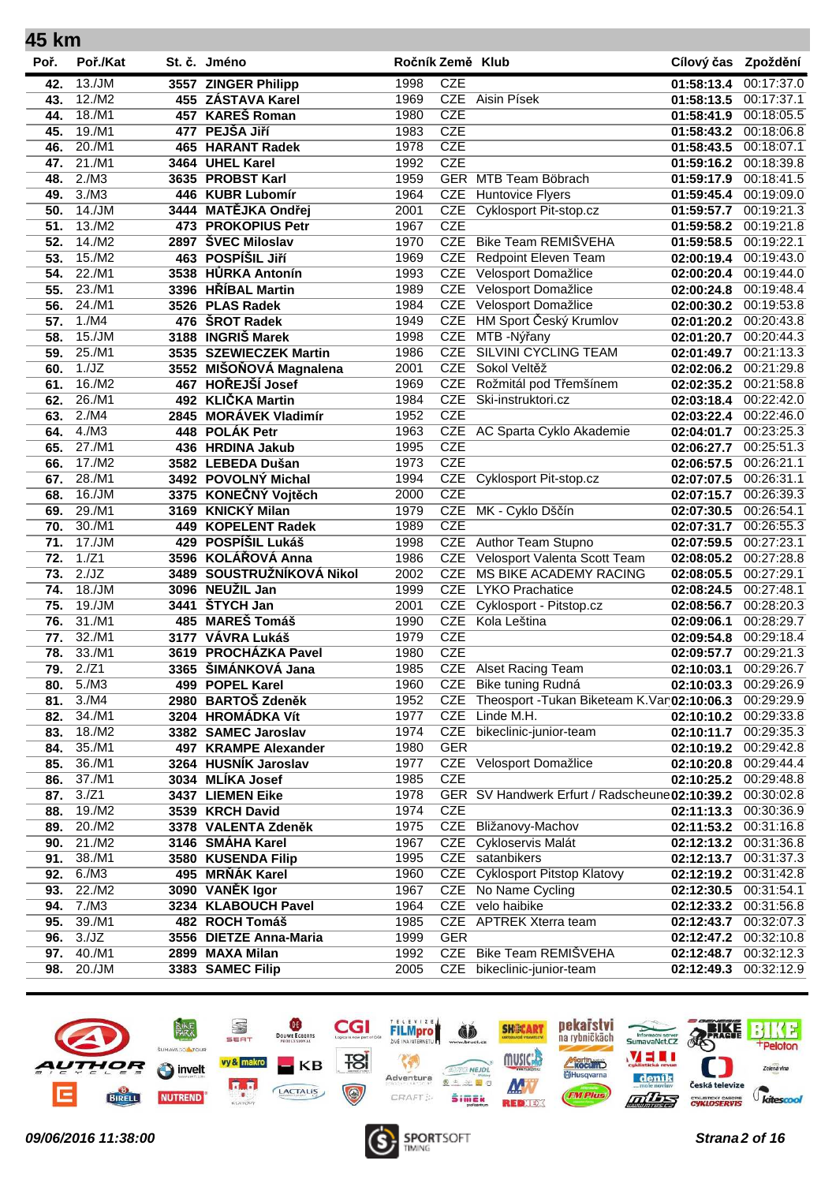| 45 km      |                 |      |                                          |                  |            |                                                |                          |                          |
|------------|-----------------|------|------------------------------------------|------------------|------------|------------------------------------------------|--------------------------|--------------------------|
| Poř.       | Poř./Kat        |      | St. č. Jméno                             | Ročník Země Klub |            |                                                | Cílový čas Zpoždění      |                          |
| 42.        | 13./JM          |      | 3557 ZINGER Philipp                      | 1998             | <b>CZE</b> |                                                | 01:58:13.4               | 00:17:37.0               |
| 43.        | 12./M2          |      | 455 ZÁSTAVA Karel                        | 1969             |            | CZE Aisin Písek                                | 01:58:13.5               | 00:17:37.1               |
| 44.        | 18./M1          |      | 457 KAREŠ Roman                          | 1980             | <b>CZE</b> |                                                | 01:58:41.9               | 00:18:05.5               |
| 45.        | 19./M1          |      | 477 PEJŠA Jiří                           | 1983             | <b>CZE</b> |                                                | 01:58:43.2               | 00:18:06.8               |
| 46.        | 20./M1          |      | 465 HARANT Radek                         | 1978             | <b>CZE</b> |                                                | 01:58:43.5               | 00:18:07.1               |
| 47.        | 21./M1          |      | 3464 UHEL Karel                          | 1992             | <b>CZE</b> |                                                | 01:59:16.2               | 00:18:39.8               |
| 48.        | 2./M3           |      | 3635 PROBST Karl                         | 1959             |            | <b>GER MTB Team Böbrach</b>                    | 01:59:17.9               | 00:18:41.5               |
| 49.        | 3./M3           |      | 446 KUBR Lubomír                         | 1964             | <b>CZE</b> | <b>Huntovice Flyers</b>                        | 01:59:45.4               | 00:19:09.0               |
| 50.        | 14./JM          |      | 3444 MATĚJKA Ondřej                      | 2001             | <b>CZE</b> | Cyklosport Pit-stop.cz                         | 01:59:57.7               | 00:19:21.3               |
| 51.        | 13./M2          |      | 473 PROKOPIUS Petr                       | 1967             | <b>CZE</b> |                                                | 01:59:58.2               | 00:19:21.8               |
| 52.        | 14./M2          |      | 2897 ŠVEC Miloslav                       | 1970             | <b>CZE</b> | Bike Team REMIŠVEHA                            | 01:59:58.5               | 00:19:22.1               |
| 53.        | 15./M2          |      | 463 POSPÍŠIL JIří                        | 1969             | <b>CZE</b> | Redpoint Eleven Team                           | 02:00:19.4               | 00:19:43.0               |
| 54.        | 22./M1          |      | 3538 HŮRKA Antonín                       | 1993             | <b>CZE</b> | Velosport Domažlice                            | 02:00:20.4               | 00:19:44.0               |
| 55.        | 23./M1          |      | 3396 HŘÍBAL Martin                       | 1989             | <b>CZE</b> | Velosport Domažlice                            | 02:00:24.8               | 00:19:48.4               |
| 56.        | 24./M1          |      | 3526 PLAS Radek                          | 1984             | <b>CZE</b> | Velosport Domažlice                            | 02:00:30.2               | 00:19:53.8               |
| 57.        | 1./M4           |      | 476 ŠROT Radek                           | 1949             | <b>CZE</b> | HM Sport Český Krumlov                         | 02:01:20.2               | 00:20:43.8               |
| 58.        | 15./JM          |      | 3188 INGRIŠ Marek                        | 1998             | <b>CZE</b> | MTB - Nýřany                                   | 02:01:20.7               | 00:20:44.3               |
| 59.        | 25./M1          |      | 3535 SZEWIECZEK Martin                   | 1986             | <b>CZE</b> | <b>SILVINI CYCLING TEAM</b>                    | 02:01:49.7               | 00:21:13.3               |
| 60.        | 1./JZ           |      | 3552 MIŠOŇOVÁ Magnalena                  | 2001             | <b>CZE</b> | Sokol Veltěž                                   | 02:02:06.2               | 00:21:29.8               |
| 61.        | 16./M2          |      | 467 HOŘEJŠÍ Josef                        | 1969             | <b>CZE</b> | Rožmitál pod Třemšínem                         | 02:02:35.2               | 00:21:58.8               |
| 62.        | 26./M1          |      | 492 KLIČKA Martin                        | 1984             | <b>CZE</b> | Ski-instruktori.cz                             | 02:03:18.4               | 00:22:42.0               |
| 63.        | 2./MA           |      | 2845 MORÁVEK Vladimír                    | 1952             | <b>CZE</b> |                                                | 02:03:22.4               | 00:22:46.0               |
| 64.        | 4./M3           |      | 448 POLÁK Petr                           | 1963             |            | CZE AC Sparta Cyklo Akademie                   | 02:04:01.7               | 00:23:25.3               |
| 65.        | 27./M1          |      | 436 HRDINA Jakub                         | 1995             | <b>CZE</b> |                                                | 02:06:27.7               | 00:25:51.3               |
| 66.        | 17./M2          |      | 3582 LEBEDA Dušan                        | 1973             | <b>CZE</b> |                                                | 02:06:57.5               | 00:26:21.1               |
| 67.        | 28./M1          |      | 3492 POVOLNY Michal                      | 1994             | <b>CZE</b> | <b>Cyklosport Pit-stop.cz</b>                  | 02:07:07.5               | 00:26:31.1               |
| 68.        | 16./JM          |      | 3375 KONEČNÝ Vojtěch                     | 2000             | <b>CZE</b> |                                                | 02:07:15.7               | 00:26:39.3               |
| 69.        | 29./M1          |      | 3169 KNICKÝ Milan                        | 1979             | <b>CZE</b> | MK - Cyklo Dščín                               | 02:07:30.5               | 00:26:54.1               |
| 70.        | 30./M1          |      | 449 KOPELENT Radek<br>429 POSPÍŠIL Lukáš | 1989             | <b>CZE</b> | CZE Author Team Stupno                         | 02:07:31.7               | 00:26:55.3               |
| 71.<br>72. | 17./JM<br>1./Z1 |      | 3596 KOLÁŘOVÁ Anna                       | 1998<br>1986     | <b>CZE</b> | Velosport Valenta Scott Team                   | 02:07:59.5               | 00:27:23.1<br>00:27:28.8 |
|            | 2./JZ           |      | 3489 SOUSTRUŽNÍKOVÁ Nikol                | 2002             | <b>CZE</b> | MS BIKE ACADEMY RACING                         | 02:08:05.2               | 00:27:29.1               |
| 73.<br>74. | 18./JM          |      | 3096 NEUŽIL Jan                          | 1999             | <b>CZE</b> | <b>LYKO Prachatice</b>                         | 02:08:05.5<br>02:08:24.5 | 00:27:48.1               |
| 75.        | 19./JM          |      | 3441 ŠTYCH Jan                           | 2001             | <b>CZE</b> | Cyklosport - Pitstop.cz                        | 02:08:56.7               | 00:28:20.3               |
| 76.        | 31./M1          |      | 485 MAREŠ Tomáš                          | 1990             | <b>CZE</b> | Kola Leština                                   | 02:09:06.1               | 00:28:29.7               |
| 77.        | 32./M1          | 3177 | VÁVRA Lukáš                              | 1979             | <b>CZE</b> |                                                | 02:09:54.8               | 00:29:18.4               |
| 78.        | 33./M1          |      | 3619 PROCHÁZKA Pavel                     | 1980             | <b>CZE</b> |                                                | 02:09:57.7               | 00:29:21.3               |
| 79.        | 2./Z1           |      | 3365 ŠIMÁNKOVÁ Jana                      | 1985             |            | <b>CZE</b> Alset Racing Team                   | 02:10:03.1               | 00:29:26.7               |
| 80.        | 5./M3           |      | 499 POPEL Karel                          | 1960             | CZE        | Bike tuning Rudná                              | 02:10:03.3               | 00:29:26.9               |
| 81.        | 3./M4           |      | 2980 BARTOŠ Zdeněk                       | 1952             | CZE        | Theosport - Tukan Biketeam K. Var 02:10:06.3   |                          | 00:29:29.9               |
| 82.        | 34./M1          |      | 3204 HROMÁDKA Vít                        | 1977             | <b>CZE</b> | Linde M.H.                                     | 02:10:10.2               | 00:29:33.8               |
| 83.        | 18./M2          |      | 3382 SAMEC Jaroslav                      | 1974             | CZE        | bikeclinic-junior-team                         | 02:10:11.7               | 00:29:35.3               |
| 84.        | 35./M1          |      | 497 KRAMPE Alexander                     | 1980             | <b>GER</b> |                                                | 02:10:19.2               | 00:29:42.8               |
| 85.        | 36./M1          |      | 3264 HUSNÍK Jaroslav                     | 1977             |            | CZE Velosport Domažlice                        | 02:10:20.8               | 00:29:44.4               |
| 86.        | 37./M1          |      | 3034 MLÍKA Josef                         | 1985             | <b>CZE</b> |                                                | 02:10:25.2               | 00:29:48.8               |
| 87.        | 3./Z1           |      | 3437 LIEMEN Eike                         | 1978             |            | GER SV Handwerk Erfurt / Radscheune 02:10:39.2 |                          | 00:30:02.8               |
| 88.        | 19./M2          |      | 3539 KRCH David                          | 1974             | <b>CZE</b> |                                                | 02:11:13.3               | 00:30:36.9               |
| 89.        | 20./M2          |      | 3378 VALENTA Zdeněk                      | 1975             | <b>CZE</b> | Bližanovy-Machov                               | 02:11:53.2               | 00:31:16.8               |
| 90.        | 21./M2          |      | 3146 SMÁHA Karel                         | 1967             | CZE        | Cykloservis Malát                              | 02:12:13.2               | 00:31:36.8               |
| 91.        | 38./M1          |      | 3580 KUSENDA Filip                       | 1995             |            | CZE satanbikers                                | 02:12:13.7               | 00:31:37.3               |
| 92.        | 6./M3           |      | 495 MRŇÁK Karel                          | 1960             | CZE        | <b>Cyklosport Pitstop Klatovy</b>              | 02:12:19.2               | 00:31:42.8               |
| 93.        | 22./M2          |      | 3090 VANĚK Igor                          | 1967             | <b>CZE</b> | No Name Cycling                                | 02:12:30.5               | 00:31:54.1               |
| 94.        | 7./M3           |      | 3234 KLABOUCH Pavel                      | 1964             |            | CZE velo haibike                               | 02:12:33.2               | 00:31:56.8               |
| 95.        | 39./M1          |      | 482 ROCH Tomáš                           | 1985             |            | CZE APTREK Xterra team                         | 02:12:43.7               | 00:32:07.3               |
| 96.        | 3./JZ           |      | 3556 DIETZE Anna-Maria                   | 1999             | <b>GER</b> |                                                | 02:12:47.2               | 00:32:10.8               |
| 97.        | 40./M1          |      | 2899 MAXA Milan                          | 1992             | CZE        | Bike Team REMIŠVEHA                            | 02:12:48.7               | 00:32:12.3               |
| 98.        | 20./JM          |      | 3383 SAMEC Filip                         | 2005             | CZE        | bikeclinic-junior-team                         | 02:12:49.3               | 00:32:12.9               |
|            |                 |      |                                          |                  |            |                                                |                          |                          |



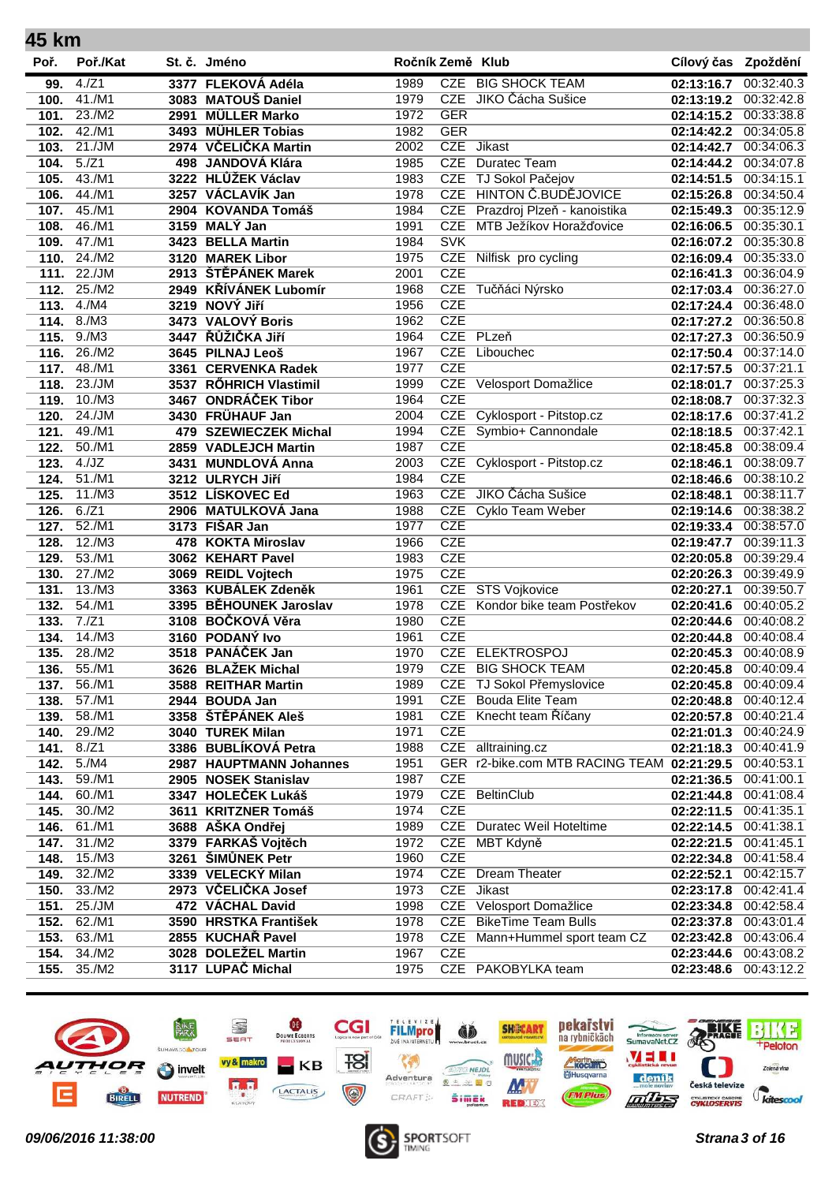| 45 km |          |      |                                           |                  |            |                                            |                     |            |
|-------|----------|------|-------------------------------------------|------------------|------------|--------------------------------------------|---------------------|------------|
| Poř.  | Poř./Kat |      | St. č. Jméno                              | Ročník Země Klub |            |                                            | Cílový čas Zpoždění |            |
| 99.   | 4./Z1    |      | 3377 FLEKOVÁ Adéla                        | 1989             |            | CZE BIG SHOCK TEAM                         | 02:13:16.7          | 00:32:40.3 |
| 100.  | 41./M1   |      | 3083 MATOUŠ Daniel                        | 1979             | <b>CZE</b> | JIKO Čácha Sušice                          | 02:13:19.2          | 00:32:42.8 |
| 101.  | 23./M2   | 2991 | <b>MÜLLER Marko</b>                       | 1972             | <b>GER</b> |                                            | 02:14:15.2          | 00:33:38.8 |
| 102.  | 42./M1   |      | 3493 MÜHLER Tobias                        | 1982             | <b>GER</b> |                                            | 02:14:42.2          | 00:34:05.8 |
| 103.  | 21./JM   |      | 2974 VČELIČKA Martin                      | 2002             | <b>CZE</b> | <b>Jikast</b>                              | 02:14:42.7          | 00:34:06.3 |
| 104.  | 5./Z1    |      | 498 JANDOVÁ Klára                         | 1985             | <b>CZE</b> | Duratec Team                               | 02:14:44.2          | 00:34:07.8 |
| 105.  | 43./M1   |      | 3222 HLŮŽEK Václav                        | 1983             | <b>CZE</b> | TJ Sokol Pačejov                           | 02:14:51.5          | 00:34:15.1 |
| 106.  | 44./M1   |      | 3257 VÁCLAVÍK Jan                         | 1978             | <b>CZE</b> | <b>HINTON Č.BUDĚJOVICE</b>                 | 02:15:26.8          | 00:34:50.4 |
| 107.  | 45./M1   |      | 2904 KOVANDA Tomáš                        | 1984             | <b>CZE</b> | Prazdroj Plzeň - kanoistika                | 02:15:49.3          | 00:35:12.9 |
| 108.  | 46./M1   |      | 3159 MALY Jan                             | 1991             | <b>CZE</b> | MTB Ježíkov Horažďovice                    | 02:16:06.5          | 00:35:30.1 |
| 109.  | 47./M1   |      | 3423 BELLA Martin                         | 1984             | <b>SVK</b> |                                            | 02:16:07.2          | 00:35:30.8 |
| 110.  | 24./M2   |      | 3120 MAREK Libor                          | 1975             | <b>CZE</b> | Nilfisk pro cycling                        | 02:16:09.4          | 00:35:33.0 |
| 111.  | 22./JM   |      | 2913 ŠTĚPÁNEK Marek                       | 2001             | <b>CZE</b> |                                            | 02:16:41.3          | 00:36:04.9 |
| 112.  | 25./M2   |      | 2949 KŘÍVÁNEK Lubomír                     | 1968             | <b>CZE</b> | Tučňáci Nýrsko                             | 02:17:03.4          | 00:36:27.0 |
| 113.  | 4./M4    |      | 3219 NOVÝ Jiří                            | 1956             | <b>CZE</b> |                                            | 02:17:24.4          | 00:36:48.0 |
| 114.  | 8./M3    |      | 3473 VALOVÝ Boris                         | 1962             | <b>CZE</b> |                                            | 02:17:27.2          | 00:36:50.8 |
| 115.  | 9./M3    |      | 3447 ŘŮŽIČKA JIří                         | 1964             |            | CZE PLzeň                                  | 02:17:27.3          | 00:36:50.9 |
| 116.  | 26./M2   |      | 3645 PILNAJ Leoš                          | 1967             | <b>CZE</b> | Libouchec                                  | 02:17:50.4          | 00:37:14.0 |
| 117.  | 48./M1   |      | 3361 CERVENKA Radek                       | 1977             | <b>CZE</b> |                                            | 02:17:57.5          | 00:37:21.1 |
| 118.  | 23./JM   |      | 3537 RŐHRICH Vlastimil                    | 1999             | <b>CZE</b> | Velosport Domažlice                        | 02:18:01.7          | 00:37:25.3 |
| 119.  | 10./M3   |      | 3467 ONDRÁČEK Tibor                       | 1964             | <b>CZE</b> |                                            | 02:18:08.7          | 00:37:32.3 |
| 120.  | 24./JM   |      | 3430 FRÜHAUF Jan                          | 2004             |            | CZE Cyklosport - Pitstop.cz                | 02:18:17.6          | 00:37:41.2 |
| 121.  | 49./M1   |      | 479 SZEWIECZEK Michal                     | 1994             |            | CZE Symbio+ Cannondale                     | 02:18:18.5          | 00:37:42.1 |
| 122.  | 50./M1   |      | 2859 VADLEJCH Martin                      | 1987             | <b>CZE</b> |                                            | 02:18:45.8          | 00:38:09.4 |
| 123.  | 4./JZ    | 3431 | <b>MUNDLOVÁ Anna</b>                      | 2003             | <b>CZE</b> | Cyklosport - Pitstop.cz                    | 02:18:46.1          | 00:38:09.7 |
| 124.  | 51./M1   |      | 3212 ULRYCH Jiří                          | 1984             | <b>CZE</b> |                                            | 02:18:46.6          | 00:38:10.2 |
| 125.  | 11./M3   |      | 3512 LÍSKOVEC Ed                          | 1963             | <b>CZE</b> | JIKO Čácha Sušice                          | 02:18:48.1          | 00:38:11.7 |
| 126.  | 6./Z1    |      | 2906 MATULKOVÁ Jana                       | 1988             | <b>CZE</b> | Cyklo Team Weber                           | 02:19:14.6          | 00:38:38.2 |
| 127.  | 52./M1   |      | 3173 FIŠAR Jan                            | 1977             | <b>CZE</b> |                                            | 02:19:33.4          | 00:38:57.0 |
| 128.  | 12./M3   |      | 478 KOKTA Miroslav                        | 1966             | <b>CZE</b> |                                            | 02:19:47.7          | 00:39:11.3 |
| 129.  | 53./M1   |      | 3062 KEHART Pavel                         | 1983             | <b>CZE</b> |                                            | 02:20:05.8          | 00:39:29.4 |
| 130.  | 27./M2   |      | 3069 REIDL Vojtech                        | 1975             | <b>CZE</b> |                                            | 02:20:26.3          | 00:39:49.9 |
| 131.  | 13./M3   |      | 3363 KUBÁLEK Zdeněk                       | 1961             | <b>CZE</b> | <b>STS Vojkovice</b>                       | 02:20:27.1          | 00:39:50.7 |
| 132.  | 54./M1   |      | 3395 BĚHOUNEK Jaroslav                    | 1978             | <b>CZE</b> | Kondor bike team Postřekov                 | 02:20:41.6          | 00:40:05.2 |
| 133.  | 7./Z1    |      | 3108 BOČKOVÁ Věra                         | 1980             | <b>CZE</b> |                                            | 02:20:44.6          | 00:40:08.2 |
| 134.  | 14./M3   |      | 3160 PODANÝ Ivo                           | 1961             | <b>CZE</b> |                                            | 02:20:44.8          | 00:40:08.4 |
| 135.  | 28./M2   |      | 3518 PANÁČEK Jan                          | 1970             |            | CZE ELEKTROSPOJ                            | 02:20:45.3          | 00:40:08.9 |
| 136.  | 55./M1   |      | 3626 BLAŽEK Michal                        | 1979             |            | CZE BIG SHOCK TEAM                         | 02:20:45.8          | 00:40:09.4 |
| 137.  | 56./M1   |      | 3588 REITHAR Martin                       | 1989             |            | CZE TJ Sokol Přemyslovice                  | 02:20:45.8          | 00:40:09.4 |
| 138.  | 57./M1   |      | 2944 BOUDA Jan                            | 1991             |            | <b>CZE</b> Bouda Elite Team                | 02:20:48.8          | 00:40:12.4 |
| 139.  | 58./M1   |      | 3358 ŠTĚPÁNEK Aleš                        | 1981             |            | CZE Knecht team Říčany                     | 02:20:57.8          | 00:40:21.4 |
| 140.  | 29./M2   |      | 3040 TUREK Milan                          | 1971             | <b>CZE</b> |                                            | 02:21:01.3          | 00:40:24.9 |
| 141.  | 8./Z1    |      | 3386 BUBLÍKOVÁ Petra                      | 1988             |            | CZE alltraining.cz                         | 02:21:18.3          | 00:40:41.9 |
| 142.  | 5./M4    |      | 2987 HAUPTMANN Johannes                   | 1951             |            | GER r2-bike.com MTB RACING TEAM 02:21:29.5 |                     | 00:40:53.1 |
| 143.  | 59./M1   |      | 2905 NOSEK Stanislav                      | 1987             | <b>CZE</b> |                                            | 02:21:36.5          | 00:41:00.1 |
| 144.  | 60./M1   |      | 3347 HOLEČEK Lukáš                        | 1979             |            | CZE BeltinClub                             | 02:21:44.8          | 00:41:08.4 |
| 145.  | 30./M2   |      | 3611 KRITZNER Tomáš                       | 1974             | <b>CZE</b> |                                            | 02:22:11.5          | 00:41:35.1 |
| 146.  | 61./M1   |      | 3688 AŠKA Ondřej                          | 1989             |            | <b>CZE</b> Duratec Weil Hoteltime          | 02:22:14.5          | 00:41:38.1 |
|       | 31./M2   |      |                                           | 1972             |            |                                            |                     |            |
| 147.  | 15./M3   |      | 3379 FARKAŠ Vojtěch<br>3261 ŠIMŮNEK Petr  | 1960             | <b>CZE</b> | CZE MBT Kdyně                              | 02:22:21.5          | 00:41:45.1 |
| 148.  |          |      |                                           |                  |            | <b>CZE</b> Dream Theater                   | 02:22:34.8          | 00:41:58.4 |
| 149.  | 32./M2   |      | 3339 VELECKY Milan<br>2973 VČELIČKA Josef | 1974             | <b>CZE</b> | <b>Jikast</b>                              | 02:22:52.1          | 00:42:15.7 |
| 150.  | 33./M2   |      |                                           | 1973             |            |                                            | 02:23:17.8          | 00:42:41.4 |
| 151.  | 25./JM   |      | 472 VÁCHAL David                          | 1998             |            | CZE Velosport Domažlice                    | 02:23:34.8          | 00:42:58.4 |
| 152.  | 62./M1   |      | 3590 HRSTKA František                     | 1978             |            | CZE BikeTime Team Bulls                    | 02:23:37.8          | 00:43:01.4 |
| 153.  | 63./M1   |      | 2855 KUCHAŘ Pavel                         | 1978             |            | CZE Mann+Hummel sport team CZ              | 02:23:42.8          | 00:43:06.4 |
| 154.  | 34./M2   |      | 3028 DOLEŽEL Martin                       | 1967             | <b>CZE</b> |                                            | 02:23:44.6          | 00:43:08.2 |
| 155.  | 35./M2   |      | 3117 LUPAČ Michal                         | 1975             |            | CZE PAKOBYLKA team                         | 02:23:48.6          | 00:43:12.2 |



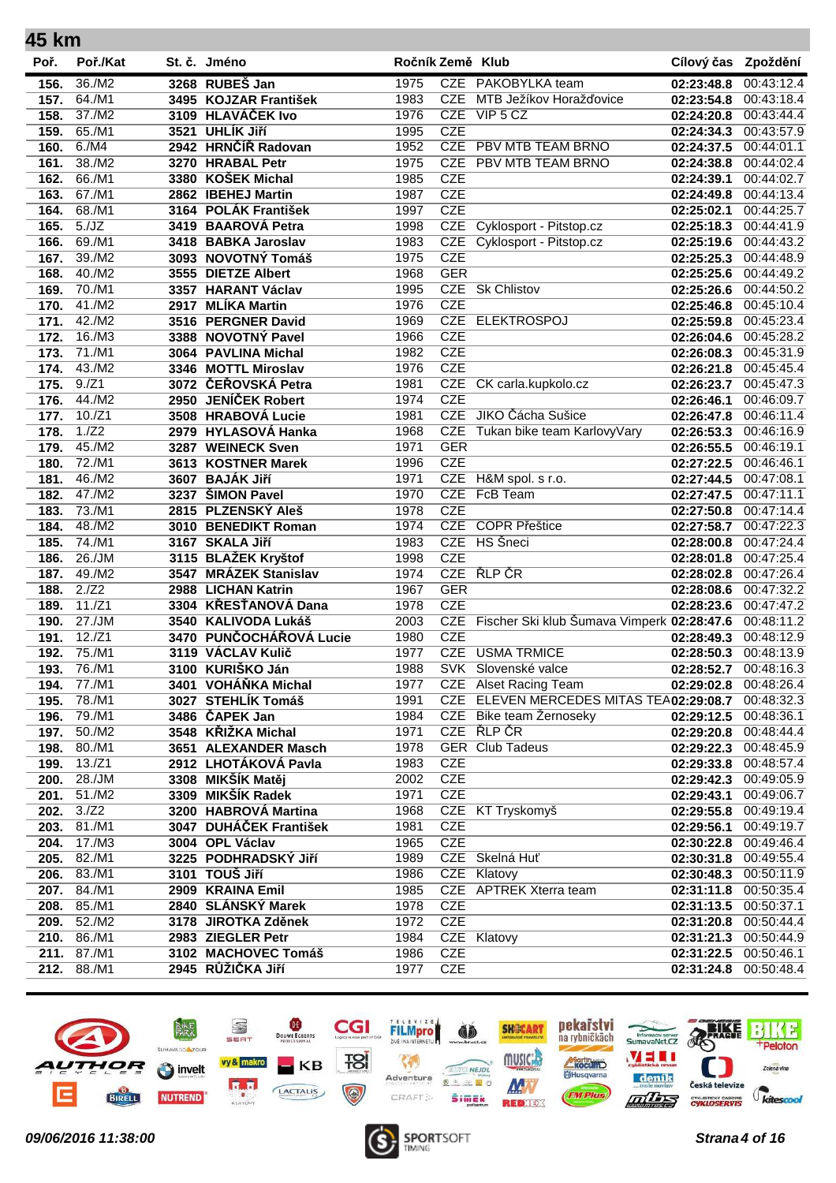| 45 km        |               |                         |                  |            |                                                |                     |                          |
|--------------|---------------|-------------------------|------------------|------------|------------------------------------------------|---------------------|--------------------------|
| Poř.         | Poř./Kat      | St. č. Jméno            | Ročník Země Klub |            |                                                | Cílový čas Zpoždění |                          |
| 156.         | 36./M2        | 3268 RUBEŠ Jan          | 1975             |            | CZE PAKOBYLKA team                             | 02:23:48.8          | 00:43:12.4               |
| 157.         | 64./M1        | 3495 KOJZAR František   | 1983             | <b>CZE</b> | MTB Ježíkov Horažďovice                        | 02:23:54.8          | 00:43:18.4               |
| 158.         | 37./M2        | 3109 HLAVÁČEK Ivo       | 1976             | <b>CZE</b> | VIP 5 CZ                                       | 02:24:20.8          | 00:43:44.4               |
| 159.         | $65.$ /M1     | 3521 UHLÍK Jiří         | 1995             | <b>CZE</b> |                                                | 02:24:34.3          | 00:43:57.9               |
| 160.         | 6./M4         | 2942 HRNČÍŘ Radovan     | 1952             |            | CZE PBV MTB TEAM BRNO                          | 02:24:37.5          | 00:44:01.1               |
| 161.         | 38./M2        | 3270 HRABAL Petr        | 1975             |            | CZE PBV MTB TEAM BRNO                          | 02:24:38.8          | 00:44:02.4               |
| 162.         | 66./M1        | 3380 KOŠEK Michal       | 1985             | <b>CZE</b> |                                                | 02:24:39.1          | 00:44:02.7               |
| 163.         | 67./M1        | 2862 IBEHEJ Martin      | 1987             | <b>CZE</b> |                                                | 02:24:49.8          | 00:44:13.4               |
| 164.         | 68./M1        | 3164 POLÁK František    | 1997             | <b>CZE</b> |                                                | 02:25:02.1          | 00:44:25.7               |
| 165.         | 5./JZ         | 3419 BAAROVÁ Petra      | 1998             |            | CZE Cyklosport - Pitstop.cz                    | 02:25:18.3          | 00:44:41.9               |
| 166.         | 69./M1        | 3418 BABKA Jaroslav     | 1983             | <b>CZE</b> | Cyklosport - Pitstop.cz                        | 02:25:19.6          | 00:44:43.2               |
| 167.         | 39./M2        | 3093 NOVOTNÝ Tomáš      | 1975             | <b>CZE</b> |                                                | 02:25:25.3          | 00:44:48.9               |
| 168.         | 40./M2        | 3555 DIETZE Albert      | 1968             | <b>GER</b> |                                                | 02:25:25.6          | 00:44:49.2               |
| 169.         | 70./M1        | 3357 HARANT Václav      | 1995             |            | CZE Sk Chlistov                                | 02:25:26.6          | 00:44:50.2               |
| 170.         | 41./M2        | 2917 MLÍKA Martin       | 1976             | <b>CZE</b> |                                                | 02:25:46.8          | 00:45:10.4               |
| 171.         | 42./M2        | 3516 PERGNER David      | 1969             | <b>CZE</b> | <b>ELEKTROSPOJ</b>                             | 02:25:59.8          | 00:45:23.4               |
| 172.         | 16./M3        | 3388 NOVOTNÝ Pavel      | 1966             | <b>CZE</b> |                                                | 02:26:04.6          | 00:45:28.2               |
| 173.         | 71./M1        | 3064 PAVLINA Michal     | 1982             | <b>CZE</b> |                                                | 02:26:08.3          | 00:45:31.9               |
| 174.         | 43./M2        | 3346 MOTTL Miroslav     | 1976             | <b>CZE</b> |                                                | 02:26:21.8          | 00:45:45.4               |
| 175.         | 9./Z1         | 3072 ČEŘOVSKÁ Petra     | 1981             |            | CZE CK carla.kupkolo.cz                        | 02:26:23.7          | 00:45:47.3               |
| 176.         | 44./M2        | 2950 JENÍČEK Robert     | 1974             | <b>CZE</b> |                                                | 02:26:46.1          | 00:46:09.7               |
| 177.         | 10./Z1        | 3508 HRABOVÁ Lucie      | 1981             |            | CZE JIKO Čácha Sušice                          | 02:26:47.8          | 00:46:11.4               |
| 178.         | 1./Z2         | 2979 HYLASOVÁ Hanka     | 1968             | <b>CZE</b> | Tukan bike team KarlovyVary                    | 02:26:53.3          | 00:46:16.9               |
| 179.         | 45./M2        | 3287 WEINECK Sven       | 1971             | <b>GER</b> |                                                | 02:26:55.5          | 00:46:19.1               |
| 180.         | 72./M1        | 3613 KOSTNER Marek      | 1996             | <b>CZE</b> |                                                | 02:27:22.5          | 00:46:46.1               |
| 181.         | 46./M2        | 3607 BAJÁK Jiří         | 1971             | <b>CZE</b> | H&M spol. s r.o.                               | 02:27:44.5          | 00:47:08.1               |
| 182.         | 47./M2        | 3237 SIMON Pavel        | 1970             | <b>CZE</b> | FcB Team                                       | 02:27:47.5          | 00:47:11.1               |
| 183.         | 73./M1        | 2815 PLZENSKÝ Aleš      | 1978             | <b>CZE</b> |                                                | 02:27:50.8          | 00:47:14.4               |
| 184.         | 48./M2        | 3010 BENEDIKT Roman     | 1974             | CZE        | <b>COPR Přeštice</b>                           | 02:27:58.7          | 00:47:22.3               |
| 185.         | 74./M1        | 3167 SKALA Jiří         | 1983             |            | CZE HS Šneci                                   | 02:28:00.8          | 00:47:24.4               |
| 186.         | 26./JM        | 3115 BLAŽEK Kryštof     | 1998             | <b>CZE</b> |                                                | 02:28:01.8          | 00:47:25.4               |
| 187.         | 49./M2        | 3547 MRÁZEK Stanislav   | 1974             | <b>CZE</b> | ŘLP ČR                                         | 02:28:02.8          | 00:47:26.4               |
| 188.         | 2./Z2         | 2988 LICHAN Katrin      | 1967             | <b>GER</b> |                                                | 02:28:08.6          | 00:47:32.2               |
| 189.         | 11./Z1        | 3304 KŘESŤANOVÁ Dana    | 1978             | <b>CZE</b> |                                                | 02:28:23.6          | 00:47:47.2               |
| 190.         | 27./JM        | 3540 KALIVODA Lukáš     | 2003             |            | CZE Fischer Ski klub Šumava Vimperk 02:28:47.6 |                     | 00:48:11.2               |
| 191.         | $12./Z1$      | 3470 PUNČOCHÁŘOVÁ Lucie | 1980             | <b>CZE</b> |                                                | 02:28:49.3          | 00:48:12.9               |
| 192.         | 75./M1        | 3119 VÁCLAV Kulič       | 1977             | <b>CZE</b> | <b>USMA TRMICE</b>                             | 02:28:50.3          | 00:48:13.9               |
| 193.         | 76./M1        | 3100 KURIŠKO Ján        | 1988             |            | SVK Slovenské valce                            | 02:28:52.7          | 00:48:16.3               |
| 194.         | 77./M1        | 3401 VOHÁŇKA Michal     | 1977             |            | CZE Alset Racing Team                          | 02:29:02.8          | 00:48:26.4               |
| 195.         | 78./M1        | 3027 STEHLÍK Tomáš      | 1991             |            | CZE ELEVEN MERCEDES MITAS TEA02:29:08.7        |                     | 00:48:32.3               |
| 196.         | 79./M1        | 3486 ČAPEK Jan          | 1984             |            | CZE Bike team Žernoseky                        | 02:29:12.5          | 00:48:36.1               |
| 197.         | 50./M2        | 3548 KŘIŽKA Michal      | 1971             |            | CZE ŘLP ČR                                     | 02:29:20.8          | 00:48:44.4               |
|              | 80.7M1        | 3651 ALEXANDER Masch    | 1978             |            | <b>GER</b> Club Tadeus                         | 02:29:22.3          | 00:48:45.9               |
| 198.<br>199. | $13./Z1$      | 2912 LHOTÁKOVÁ Pavla    | 1983             | <b>CZE</b> |                                                | 02:29:33.8          | 00:48:57.4               |
|              | 28./JM        | 3308 MIKŠÍK Matěj       | 2002             | <b>CZE</b> |                                                | 02:29:42.3          |                          |
| 200.         | 51./M2        | 3309 MIKŠÍK Radek       | 1971             | <b>CZE</b> |                                                | 02:29:43.1          | 00:49:05.9<br>00:49:06.7 |
| 201.         | 3./Z2         |                         |                  |            |                                                |                     |                          |
| 202.         |               | 3200 HABROVÁ Martina    | 1968             |            | CZE KT Tryskomyš                               | 02:29:55.8          | 00:49:19.4               |
| 203.         | 81./M1        | 3047 DUHÁČEK František  | 1981             | <b>CZE</b> |                                                | 02:29:56.1          | 00:49:19.7               |
| 204.         | 17./M3        | 3004 OPL Václav         | 1965             | <b>CZE</b> |                                                | 02:30:22.8          | 00:49:46.4               |
| 205.         | 82./M1        | 3225 PODHRADSKÝ JIří    | 1989             |            | CZE Skelná Huť                                 | 02:30:31.8          | 00:49:55.4               |
| 206.         | 83./M1        | 3101 TOUŠ Jiří          | 1986             |            | CZE Klatovy                                    | 02:30:48.3          | 00:50:11.9               |
| 207.         | 84./M1        | 2909 KRAINA Emil        | 1985             |            | CZE APTREK Xterra team                         | 02:31:11.8          | 00:50:35.4               |
| 208.         | 85./M1        | 2840 SLÁNSKÝ Marek      | 1978             | <b>CZE</b> |                                                | 02:31:13.5          | 00:50:37.1               |
|              | 209. 52./M2   | 3178 JIROTKA Zděnek     | 1972             | <b>CZE</b> |                                                | 02:31:20.8          | 00:50:44.4               |
|              | $210.$ 86./M1 | 2983 ZIEGLER Petr       | 1984             |            | CZE Klatovy                                    | 02:31:21.3          | 00:50:44.9               |
| 211.         | 87./M1        | 3102 MACHOVEC Tomáš     | 1986             | <b>CZE</b> |                                                | 02:31:22.5          | 00:50:46.1               |
| 212.         | 88./M1        | 2945 RŮŽIČKA Jiří       | 1977             | <b>CZE</b> |                                                | 02:31:24.8          | 00:50:48.4               |
|              |               |                         |                  |            |                                                |                     |                          |



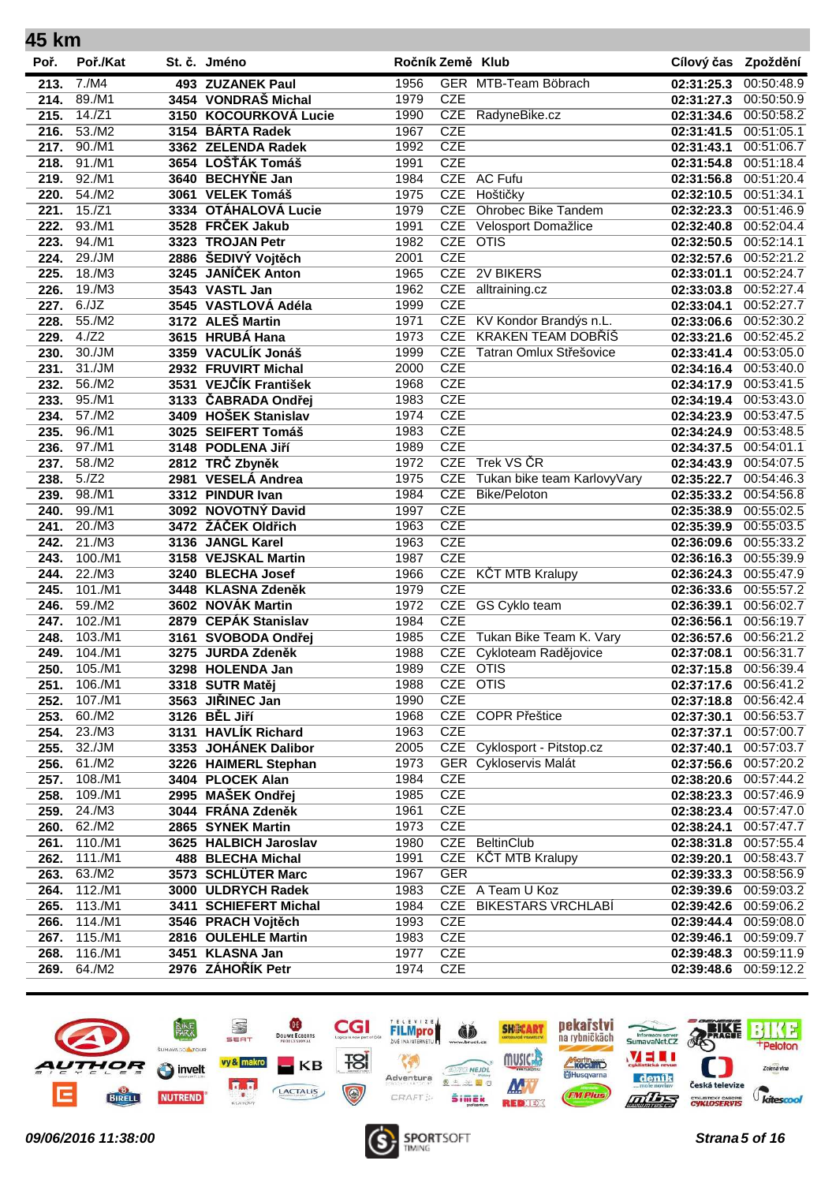| 45 km |          |                       |                  |            |                              |                     |            |
|-------|----------|-----------------------|------------------|------------|------------------------------|---------------------|------------|
| Poř.  | Poř./Kat | St. č. Jméno          | Ročník Země Klub |            |                              | Cílový čas Zpoždění |            |
| 213.  | 7./M4    | 493 ZUZANEK Paul      | 1956             |            | GER MTB-Team Böbrach         | 02:31:25.3          | 00:50:48.9 |
| 214.  | 89./M1   | 3454 VONDRAŠ Michal   | 1979             | <b>CZE</b> |                              | 02:31:27.3          | 00:50:50.9 |
| 215.  | $14./Z1$ | 3150 KOCOURKOVÁ Lucie | 1990             |            | CZE RadyneBike.cz            | 02:31:34.6          | 00:50:58.2 |
| 216.  | 53./M2   | 3154 BÁRTA Radek      | 1967             | <b>CZE</b> |                              | 02:31:41.5          | 00:51:05.1 |
| 217.  | 90./M1   | 3362 ZELENDA Radek    | 1992             | <b>CZE</b> |                              | 02:31:43.1          | 00:51:06.7 |
| 218.  | 91./M1   | 3654 LOŠŤÁK Tomáš     | 1991             | <b>CZE</b> |                              | 02:31:54.8          | 00:51:18.4 |
| 219.  | 92./M1   | 3640 BECHYŇE Jan      | 1984             |            | CZE AC Fufu                  | 02:31:56.8          | 00:51:20.4 |
| 220.  | 54./M2   | 3061 VELEK Tomáš      | 1975             | <b>CZE</b> | Hoštičky                     | 02:32:10.5          | 00:51:34.1 |
| 221.  | 15./Z1   | 3334 OTÁHALOVÁ Lucie  | 1979             | <b>CZE</b> | <b>Ohrobec Bike Tandem</b>   | 02:32:23.3          | 00:51:46.9 |
| 222.  | 93./M1   | 3528 FRČEK Jakub      | 1991             | <b>CZE</b> | Velosport Domažlice          | 02:32:40.8          | 00:52:04.4 |
| 223.  | 94./M1   | 3323 TROJAN Petr      | 1982             | CZE OTIS   |                              | 02:32:50.5          | 00:52:14.1 |
| 224.  | 29./JM   | 2886 ŠEDIVÝ Vojtěch   | 2001             | <b>CZE</b> |                              | 02:32:57.6          | 00:52:21.2 |
| 225.  | 18./M3   | 3245 JANÍČEK Anton    | 1965             |            | CZE 2V BIKERS                | 02:33:01.1          | 00:52:24.7 |
| 226.  | 19./M3   | 3543 VASTL Jan        | 1962             | <b>CZE</b> | alltraining.cz               | 02:33:03.8          | 00:52:27.4 |
| 227.  | 6./JZ    | 3545 VASTLOVÁ Adéla   | 1999             | <b>CZE</b> |                              | 02:33:04.1          | 00:52:27.7 |
| 228.  | 55./M2   | 3172 ALEŠ Martin      | 1971             | <b>CZE</b> | KV Kondor Brandýs n.L.       | 02:33:06.6          | 00:52:30.2 |
| 229.  | 4./Z2    | 3615 HRUBÁ Hana       | 1973             | <b>CZE</b> | <b>KRAKEN TEAM DOBŘÍŠ</b>    | 02:33:21.6          | 00:52:45.2 |
| 230.  | 30./JM   | 3359 VACULÍK Jonáš    | 1999             | <b>CZE</b> | Tatran Omlux Střešovice      | 02:33:41.4          | 00:53:05.0 |
| 231.  | 31./JM   | 2932 FRUVIRT Michal   | 2000             | <b>CZE</b> |                              | 02:34:16.4          | 00:53:40.0 |
| 232.  | 56./M2   | 3531 VEJČÍK František | 1968             | <b>CZE</b> |                              | 02:34:17.9          | 00:53:41.5 |
| 233.  | 95./M1   | 3133 ČABRADA Ondřej   | 1983             | <b>CZE</b> |                              | 02:34:19.4          | 00:53:43.0 |
| 234.  | 57./M2   | 3409 HOŠEK Stanislav  | 1974             | <b>CZE</b> |                              | 02:34:23.9          | 00:53:47.5 |
| 235.  | 96./M1   | 3025 SEIFERT Tomáš    | 1983             | <b>CZE</b> |                              | 02:34:24.9          | 00:53:48.5 |
| 236.  | 97./M1   | 3148 PODLENA Jiří     | 1989             | <b>CZE</b> |                              | 02:34:37.5          | 00:54:01.1 |
| 237.  | 58./M2   | 2812 TRČ Zbyněk       | 1972             | <b>CZE</b> | Trek VS ČR                   | 02:34:43.9          | 00:54:07.5 |
| 238.  | 5./Z2    | 2981 VESELÁ Andrea    | 1975             | <b>CZE</b> | Tukan bike team KarlovyVary  | 02:35:22.7          | 00:54:46.3 |
| 239.  | 98./M1   | 3312 PINDUR Ivan      | 1984             | <b>CZE</b> | <b>Bike/Peloton</b>          | 02:35:33.2          | 00:54:56.8 |
| 240.  | 99./M1   | 3092 NOVOTNÝ David    | 1997             | <b>CZE</b> |                              | 02:35:38.9          | 00:55:02.5 |
| 241.  | 20./M3   | 3472 ŽÁČEK Oldřich    | 1963             | <b>CZE</b> |                              |                     | 00:55:03.5 |
| 242.  | 21./M3   |                       | 1963             | <b>CZE</b> |                              | 02:35:39.9          | 00:55:33.2 |
|       | 100./M1  | 3136 JANGL Karel      | 1987             | <b>CZE</b> |                              | 02:36:09.6          | 00:55:39.9 |
| 243.  | 22./M3   | 3158 VEJSKAL Martin   |                  | <b>CZE</b> |                              | 02:36:16.3          |            |
| 244.  |          | 3240 BLECHA Josef     | 1966             | <b>CZE</b> | <b>KČT MTB Kralupy</b>       | 02:36:24.3          | 00:55:47.9 |
| 245.  | 101./M1  | 3448 KLASNA Zdeněk    | 1979             |            |                              | 02:36:33.6          | 00:55:57.2 |
| 246.  | 59./M2   | 3602 NOVÁK Martin     | 1972             |            | CZE GS Cyklo team            | 02:36:39.1          | 00:56:02.7 |
| 247.  | 102./M1  | 2879 CEPÁK Stanislav  | 1984             | <b>CZE</b> |                              | 02:36:56.1          | 00:56:19.7 |
| 248.  | 103./M1  | 3161 SVOBODA Ondřej   | 1985             | <b>CZE</b> | Tukan Bike Team K. Vary      | 02:36:57.6          | 00:56:21.2 |
| 249.  | 104./M1  | 3275 JURDA Zdeněk     | 1988             |            | CZE Cykloteam Radějovice     | 02:37:08.1          | 00:56:31.7 |
| 250.  | 105./M1  | 3298 HOLENDA Jan      | 1989             | CZE OTIS   |                              | 02:37:15.8          | 00:56:39.4 |
| 251.  | 106./M1  | 3318 SUTR Matěj       | 1988             | CZE OTIS   |                              | 02:37:17.6          | 00:56:41.2 |
| 252.  | 107./M1  | 3563 JIŘINEC Jan      | 1990             | <b>CZE</b> |                              | 02:37:18.8          | 00:56:42.4 |
| 253.  | 60./M2   | 3126 BĚL Jiří         | 1968             |            | CZE COPR Přeštice            | 02:37:30.1          | 00:56:53.7 |
| 254.  | 23./M3   | 3131 HAVLIK Richard   | 1963             | <b>CZE</b> |                              | 02:37:37.1          | 00:57:00.7 |
| 255.  | 32./JM   | 3353 JOHÁNEK Dalibor  | 2005             |            | CZE Cyklosport - Pitstop.cz  | 02:37:40.1          | 00:57:03.7 |
| 256.  | 61./M2   | 3226 HAIMERL Stephan  | 1973             |            | <b>GER</b> Cykloservis Malát | 02:37:56.6          | 00:57:20.2 |
| 257.  | 108./M1  | 3404 PLOCEK Alan      | 1984             | <b>CZE</b> |                              | 02:38:20.6          | 00:57:44.2 |
| 258.  | 109./M1  | 2995 MAŠEK Ondřej     | 1985             | <b>CZE</b> |                              | 02:38:23.3          | 00:57:46.9 |
| 259.  | 24./M3   | 3044 FRÁNA Zdeněk     | 1961             | <b>CZE</b> |                              | 02:38:23.4          | 00:57:47.0 |
| 260.  | 62./M2   | 2865 SYNEK Martin     | 1973             | <b>CZE</b> |                              | 02:38:24.1          | 00:57:47.7 |
| 261.  | 110./M1  | 3625 HALBICH Jaroslav | 1980             |            | CZE BeltinClub               | 02:38:31.8          | 00:57:55.4 |
| 262.  | 111./M1  | 488 BLECHA Michal     | 1991             |            | CZE KČT MTB Kralupy          | 02:39:20.1          | 00:58:43.7 |
| 263.  | 63./M2   | 3573 SCHLÜTER Marc    | 1967             | <b>GER</b> |                              | 02:39:33.3          | 00:58:56.9 |
| 264.  | 112./M1  | 3000 ULDRYCH Radek    | 1983             |            | CZE A Team U Koz             | 02:39:39.6          | 00:59:03.2 |
| 265.  | 113./M1  | 3411 SCHIEFERT Michal | 1984             | <b>CZE</b> | <b>BIKESTARS VRCHLABI</b>    | 02:39:42.6          | 00:59:06.2 |
| 266.  | 114./M1  | 3546 PRACH Vojtěch    | 1993             | <b>CZE</b> |                              | 02:39:44.4          | 00:59:08.0 |
| 267.  | 115./M1  | 2816 OULEHLE Martin   | 1983             | <b>CZE</b> |                              | 02:39:46.1          | 00:59:09.7 |
| 268.  | 116./M1  | 3451 KLASNA Jan       | 1977             | <b>CZE</b> |                              | 02:39:48.3          | 00:59:11.9 |
| 269.  | 64./M2   | 2976 ZÁHOŘÍK Petr     | 1974             | <b>CZE</b> |                              | 02:39:48.6          | 00:59:12.2 |
|       |          |                       |                  |            |                              |                     |            |



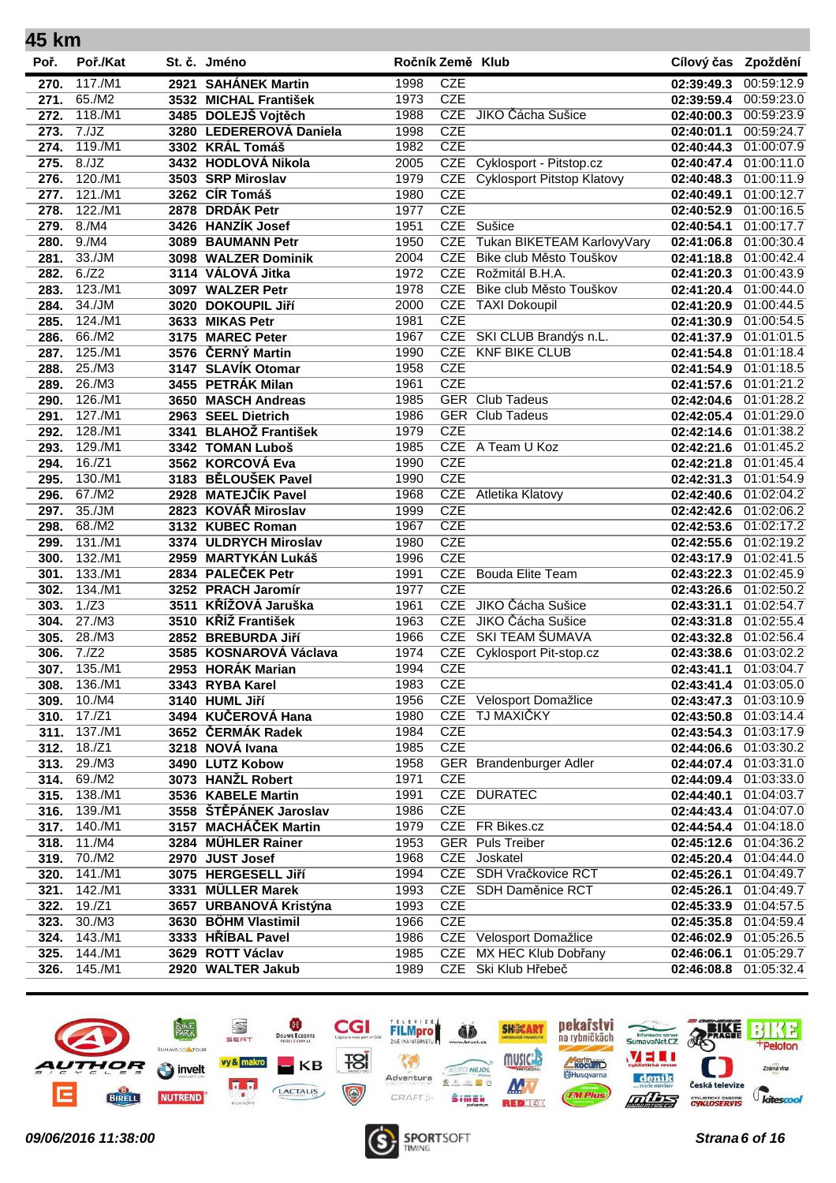| 45 km |          |                         |                  |            |                                       |                     |            |
|-------|----------|-------------------------|------------------|------------|---------------------------------------|---------------------|------------|
| Poř.  | Poř./Kat | St. č. Jméno            | Ročník Země Klub |            |                                       | Cílový čas Zpoždění |            |
| 270.  | 117./M1  | 2921 SAHÁNEK Martin     | 1998             | <b>CZE</b> |                                       | 02:39:49.3          | 00:59:12.9 |
| 271.  | 65./M2   | 3532 MICHAL František   | 1973             | <b>CZE</b> |                                       | 02:39:59.4          | 00:59:23.0 |
| 272.  | 118./M1  | 3485 DOLEJŠ Vojtěch     | 1988             |            | CZE JIKO Čácha Sušice                 | 02:40:00.3          | 00:59:23.9 |
| 273.  | 7./JZ    | 3280 LEDEREROVÁ Daniela | 1998             | <b>CZE</b> |                                       | 02:40:01.1          | 00:59:24.7 |
| 274.  | 119./M1  | 3302 KRÁL Tomáš         | 1982             | <b>CZE</b> |                                       | 02:40:44.3          | 01:00:07.9 |
| 275.  | 8./JZ    | 3432 HODLOVÁ Nikola     | 2005             | CZE        | Cyklosport - Pitstop.cz               | 02:40:47.4          | 01:00:11.0 |
| 276.  | 120./M1  | 3503 SRP Miroslav       | 1979             |            | <b>CZE</b> Cyklosport Pitstop Klatovy | 02:40:48.3          | 01:00:11.9 |
| 277.  | 121./M1  | 3262 CÍR Tomáš          | 1980             | <b>CZE</b> |                                       | 02:40:49.1          | 01:00:12.7 |
| 278.  | 122./M1  | 2878 DRDÁK Petr         | 1977             | <b>CZE</b> |                                       | 02:40:52.9          | 01:00:16.5 |
| 279.  | 8./M4    | 3426 HANZÍK Josef       | 1951             |            | CZE Sušice                            | 02:40:54.1          | 01:00:17.7 |
| 280.  | 9./M4    | 3089 BAUMANN Petr       | 1950             | <b>CZE</b> | Tukan BIKETEAM KarlovyVary            | 02:41:06.8          | 01:00:30.4 |
| 281.  | 33./JM   | 3098 WALZER Dominik     | 2004             | <b>CZE</b> | Bike club Město Touškov               | 02:41:18.8          | 01:00:42.4 |
| 282.  | 6./Z2    | 3114 VÁLOVÁ Jitka       | 1972             | <b>CZE</b> | Rožmitál B.H.A.                       | 02:41:20.3          | 01:00:43.9 |
| 283.  | 123./M1  | 3097 WALZER Petr        | 1978             | <b>CZE</b> | Bike club Město Touškov               | 02:41:20.4          | 01:00:44.0 |
| 284.  | 34./JM   | 3020 DOKOUPIL Jiří      | 2000             | <b>CZE</b> | <b>TAXI Dokoupil</b>                  | 02:41:20.9          | 01:00:44.5 |
| 285.  | 124./M1  | 3633 MIKAS Petr         | 1981             | <b>CZE</b> |                                       | 02:41:30.9          | 01:00:54.5 |
| 286.  | 66./M2   | 3175 MAREC Peter        | 1967             |            | CZE SKI CLUB Brandýs n.L.             | 02:41:37.9          | 01:01:01.5 |
| 287.  | 125./M1  | 3576 ČERNÝ Martin       | 1990             | <b>CZE</b> | <b>KNF BIKE CLUB</b>                  | 02:41:54.8          | 01:01:18.4 |
| 288.  | 25./M3   | 3147 SLAVÍK Otomar      | 1958             | <b>CZE</b> |                                       | 02:41:54.9          | 01:01:18.5 |
| 289.  | 26./M3   | 3455 PETRÁK Milan       | 1961             | <b>CZE</b> |                                       | 02:41:57.6          | 01:01:21.2 |
| 290.  | 126./M1  | 3650 MASCH Andreas      | 1985             |            | <b>GER</b> Club Tadeus                | 02:42:04.6          | 01:01:28.2 |
| 291.  | 127./M1  | 2963 SEEL Dietrich      | 1986             |            | <b>GER</b> Club Tadeus                | 02:42:05.4          | 01:01:29.0 |
| 292.  | 128./M1  | 3341 BLAHOŽ František   | 1979             | <b>CZE</b> |                                       | 02:42:14.6          | 01:01:38.2 |
| 293.  | 129./M1  | 3342 TOMAN Luboš        | 1985             |            | CZE A Team U Koz                      | 02:42:21.6          | 01:01:45.2 |
| 294.  | 16./Z1   | 3562 KORCOVÁ Eva        | 1990             | <b>CZE</b> |                                       | 02:42:21.8          | 01:01:45.4 |
| 295.  | 130./M1  | 3183 BĚLOUŠEK Pavel     | 1990             | <b>CZE</b> |                                       | 02:42:31.3          | 01:01:54.9 |
| 296.  | 67./M2   | 2928 MATEJČÍK Pavel     | 1968             |            | <b>CZE</b> Atletika Klatovy           | 02:42:40.6          | 01:02:04.2 |
| 297.  | 35./JM   | 2823 KOVÁŘ Miroslav     | 1999             | <b>CZE</b> |                                       | 02:42:42.6          | 01:02:06.2 |
| 298.  | 68./M2   | 3132 KUBEC Roman        | 1967             | <b>CZE</b> |                                       | 02:42:53.6          | 01:02:17.2 |
| 299.  | 131./M1  | 3374 ULDRYCH Miroslav   | 1980             | <b>CZE</b> |                                       | 02:42:55.6          | 01:02:19.2 |
| 300.  | 132./M1  | 2959 MARTYKÁN Lukáš     | 1996             | <b>CZE</b> |                                       | 02:43:17.9          | 01:02:41.5 |
| 301.  | 133./M1  | 2834 PALEČEK Petr       | 1991             | CZE        | <b>Bouda Elite Team</b>               | 02:43:22.3          | 01:02:45.9 |
| 302.  | 134./M1  | 3252 PRACH Jaromír      | 1977             | <b>CZE</b> |                                       | 02:43:26.6          | 01:02:50.2 |
| 303.  | 1./Z3    | 3511 KŘÍŽOVÁ Jaruška    | 1961             | <b>CZE</b> | JIKO Čácha Sušice                     | 02:43:31.1          | 01:02:54.7 |
| 304.  | 27./M3   | 3510 KŘÍŽ František     | 1963             | <b>CZE</b> | JIKO Čácha Sušice                     | 02:43:31.8          | 01:02:55.4 |
| 305.  | 28./M3   | 2852 BREBURDA Jiří      | 1966             | <b>CZE</b> | SKI TEAM ŠUMAVA                       | 02:43:32.8          | 01:02:56.4 |
| 306.  | 7./Z2    | 3585 KOSNAROVÁ Václava  | 1974             | <b>CZE</b> | <b>Cyklosport Pit-stop.cz</b>         | 02:43:38.6          | 01:03:02.2 |
| 307.  | 135./M1  | 2953 HORÁK Marian       | 1994             | <b>CZE</b> |                                       | 02:43:41.1          | 01:03:04.7 |
| 308.  | 136./M1  | 3343 RYBA Karel         | 1983             | <b>CZE</b> |                                       | 02:43:41.4          | 01:03:05.0 |
| 309.  | 10./M4   | 3140 HUML Jiří          | 1956             | <b>CZE</b> | Velosport Domažlice                   | 02:43:47.3          | 01:03:10.9 |
| 310.  | 17./Z1   | 3494 KUČEROVÁ Hana      | 1980             | <b>CZE</b> | <b>TJ MAXIČKY</b>                     | 02:43:50.8          | 01:03:14.4 |
| 311.  | 137./M1  | 3652 ČERMÁK Radek       | 1984             | <b>CZE</b> |                                       | 02:43:54.3          | 01:03:17.9 |
| 312.  | 18./Z1   | 3218 NOVÁ Ivana         | 1985             | <b>CZE</b> |                                       | 02:44:06.6          | 01:03:30.2 |
| 313.  | 29./M3   | 3490 LUTZ Kobow         | 1958             |            | GER Brandenburger Adler               | 02:44:07.4          | 01:03:31.0 |
| 314.  | 69./M2   | 3073 HANŽL Robert       | 1971             | <b>CZE</b> |                                       | 02:44:09.4          | 01:03:33.0 |
| 315.  | 138./M1  | 3536 KABELE Martin      | 1991             |            | CZE DURATEC                           | 02:44:40.1          | 01:04:03.7 |
| 316.  | 139./M1  | 3558 ŠTĚPÁNEK Jaroslav  | 1986             | <b>CZE</b> |                                       | 02:44:43.4          | 01:04:07.0 |
| 317.  | 140./M1  | 3157 MACHÁČEK Martin    | 1979             |            | CZE FR Bikes.cz                       | 02:44:54.4          | 01:04:18.0 |
| 318.  | 11./M4   | 3284 MÜHLER Rainer      | 1953             |            | <b>GER</b> Puls Treiber               | 02:45:12.6          | 01:04:36.2 |
| 319.  | 70./M2   | 2970 JUST Josef         | 1968             |            | CZE Joskatel                          | 02:45:20.4          | 01:04:44.0 |
| 320.  | 141./M1  | 3075 HERGESELL Jiří     | 1994             |            | CZE SDH Vračkovice RCT                | 02:45:26.1          | 01:04:49.7 |
| 321.  | 142./M1  | 3331 MÜLLER Marek       | 1993             |            | CZE SDH Daměnice RCT                  | 02:45:26.1          | 01:04:49.7 |
| 322.  | $19./Z1$ | 3657 URBANOVÁ Kristýna  | 1993             | <b>CZE</b> |                                       | 02:45:33.9          | 01:04:57.5 |
| 323.  | 30./M3   | 3630 BÖHM Vlastimil     | 1966             | <b>CZE</b> |                                       | 02:45:35.8          | 01:04:59.4 |
| 324.  | 143./M1  | 3333 HŘÍBAL Pavel       | 1986             |            | CZE Velosport Domažlice               | 02:46:02.9          | 01:05:26.5 |
| 325.  | 144./M1  | 3629 ROTT Václav        | 1985             | <b>CZE</b> | MX HEC Klub Dobřany                   | 02:46:06.1          | 01:05:29.7 |
| 326.  | 145./M1  | 2920 WALTER Jakub       | 1989             |            | CZE Ski Klub Hřebeč                   | 02:46:08.8          | 01:05:32.4 |
|       |          |                         |                  |            |                                       |                     |            |



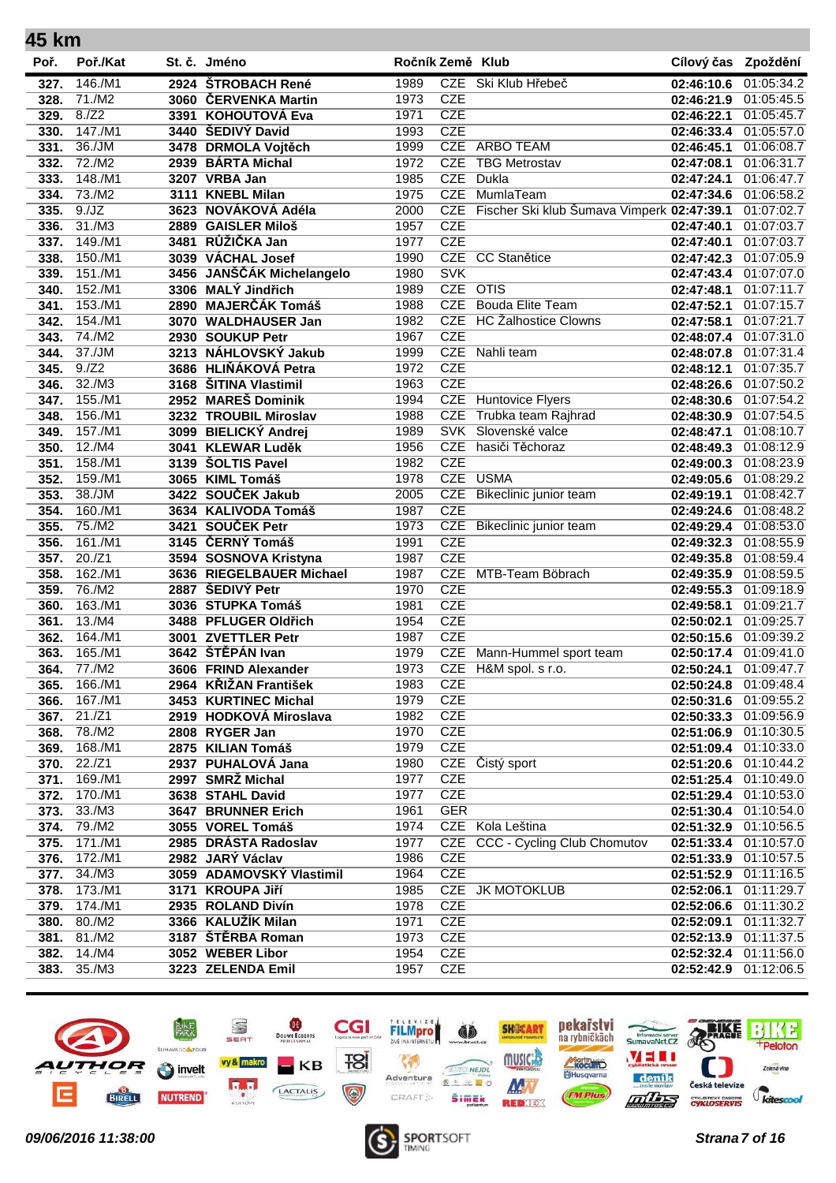| 45 km        |                   |                                               |                  |                          |                                            |                                     |                          |
|--------------|-------------------|-----------------------------------------------|------------------|--------------------------|--------------------------------------------|-------------------------------------|--------------------------|
| Poř.         | Poř./Kat          | St. č. Jméno                                  | Ročník Země Klub |                          |                                            | Cílový čas Zpoždění                 |                          |
| 327.         | 146./M1           | 2924 ŠTROBACH René                            | 1989             |                          | CZE Ski Klub Hřebeč                        | 02:46:10.6                          | 01:05:34.2               |
| 328.         | 71./M2            | 3060 ČERVENKA Martin                          | 1973             | <b>CZE</b>               |                                            | 02:46:21.9                          | 01:05:45.5               |
| 329.         | 8./Z2             | 3391 KOHOUTOVÁ Eva                            | 1971             | <b>CZE</b>               |                                            | 02:46:22.1                          | 01:05:45.7               |
| 330.         | 147./M1           | 3440 ŠEDIVÝ David                             | 1993             | <b>CZE</b>               |                                            | 02:46:33.4                          | 01:05:57.0               |
| 331.         | 36./JM            | 3478 DRMOLA Vojtěch                           | 1999             |                          | CZE ARBO TEAM                              | 02:46:45.1                          | 01:06:08.7               |
| 332.         | 72./M2            | 2939 BÁRTA Michal                             | 1972             | <b>CZE</b>               | <b>TBG Metrostav</b>                       | 02:47:08.1                          | 01:06:31.7               |
| 333.         | 148./M1           | 3207 VRBA Jan                                 | 1985             | <b>CZE</b>               | Dukla                                      | 02:47:24.1                          | 01:06:47.7               |
| 334.         | 73./M2            | 3111 KNEBL Milan                              | 1975             | <b>CZE</b>               | MumlaTeam                                  | 02:47:34.6                          | 01:06:58.2               |
| 335.         | 9./JZ             | 3623 NOVÁKOVÁ Adéla                           | 2000             | <b>CZE</b>               | Fischer Ski klub Šumava Vimperk 02:47:39.1 |                                     | 01:07:02.7               |
| 336.         | 31./M3            | 2889 GAISLER Miloš                            | 1957             | <b>CZE</b>               |                                            | 02:47:40.1                          | 01:07:03.7               |
| 337.         | 149./M1           | 3481 RŮŽIČKA Jan                              | 1977             | <b>CZE</b>               |                                            | 02:47:40.1                          | 01:07:03.7               |
| 338.         | 150./M1           | 3039 VÁCHAL Josef                             | 1990             | CZE                      | <b>CC Stanětice</b>                        | 02:47:42.3                          | 01:07:05.9               |
| 339.         | 151./M1           | 3456 JANŠČÁK Michelangelo                     | 1980             | <b>SVK</b>               |                                            | 02:47:43.4                          | 01:07:07.0               |
| 340.         | 152./M1           | 3306 MALÝ Jindřich                            | 1989             | CZE OTIS                 |                                            | 02:47:48.1                          | 01:07:11.7               |
| 341.         | 153./M1           | 2890 MAJERČÁK Tomáš                           | 1988             | <b>CZE</b>               | <b>Bouda Elite Team</b>                    | 02:47:52.1                          | 01:07:15.7               |
| 342.         | 154./M1           | 3070 WALDHAUSER Jan                           | 1982             | <b>CZE</b>               | <b>HC Žalhostice Clowns</b>                | 02:47:58.1                          | 01:07:21.7               |
| 343.         | 74./M2            | 2930 SOUKUP Petr                              | 1967             | <b>CZE</b>               |                                            | 02:48:07.4                          | 01:07:31.0               |
| 344.         | 37./JM            | 3213 NÁHLOVSKÝ Jakub                          | 1999             | <b>CZE</b>               | Nahli team                                 | 02:48:07.8                          | 01:07:31.4               |
| 345.         | 9./Z2             | 3686 HLIŇÁKOVÁ Petra                          | 1972             | <b>CZE</b>               |                                            | 02:48:12.1                          | 01:07:35.7               |
| 346.         | 32./M3            | 3168 ŠITINA Vlastimil                         | 1963             | <b>CZE</b>               |                                            | 02:48:26.6                          | 01:07:50.2               |
| 347.         | 155./M1           | 2952 MAREŠ Dominik                            | 1994             | <b>CZE</b>               | <b>Huntovice Flyers</b>                    | 02:48:30.6                          | 01:07:54.2               |
| 348.         | 156./M1           | 3232 TROUBIL Miroslav                         | 1988             | <b>CZE</b>               | Trubka team Rajhrad                        | 02:48:30.9                          | 01:07:54.5               |
| 349.         | 157./M1           | 3099 BIELICKÝ Andrej                          | 1989             |                          | SVK Slovenské valce                        | 02:48:47.1                          | 01:08:10.7               |
| 350.         | 12./M4            | 3041 KLEWAR Luděk                             | 1956             | <b>CZE</b>               | hasiči Těchoraz                            | 02:48:49.3                          | 01:08:12.9               |
| 351.         | 158./M1           | 3139 SOLTIS Pavel                             | 1982             | <b>CZE</b>               |                                            | 02:49:00.3                          | 01:08:23.9               |
| 352.         | 159./M1           | 3065 KIML Tomáš                               | 1978             | CZE                      | <b>USMA</b>                                | 02:49:05.6                          | 01:08:29.2               |
| 353.         | 38./JM            | 3422 SOUČEK Jakub                             | 2005             | <b>CZE</b>               | Bikeclinic junior team                     | 02:49:19.1                          | 01:08:42.7               |
| 354.         | 160./M1           | 3634 KALIVODA Tomáš                           | 1987             | <b>CZE</b>               |                                            | 02:49:24.6                          | 01:08:48.2               |
| 355.         | 75./M2            | 3421 SOUČEK Petr                              | 1973             | <b>CZE</b>               | Bikeclinic junior team                     | 02:49:29.4                          | 01:08:53.0               |
| 356.         | 161./M1           | 3145 ČERNÝ Tomáš                              | 1991             | <b>CZE</b>               |                                            | 02:49:32.3                          | 01:08:55.9               |
| 357.         | 20./Z1            | 3594 SOSNOVA Kristyna                         | 1987             | <b>CZE</b>               |                                            | 02:49:35.8                          | 01:08:59.4               |
| 358.         | 162./M1           | 3636 RIEGELBAUER Michael                      | 1987             | <b>CZE</b>               | MTB-Team Böbrach                           | 02:49:35.9                          | 01:08:59.5               |
| 359.         | 76./M2            | 2887 ŠEDIVÝ Petr                              | 1970             | <b>CZE</b>               |                                            | 02:49:55.3                          | 01:09:18.9               |
| 360.         | 163./M1           | 3036 STUPKA Tomáš                             | 1981             | <b>CZE</b><br><b>CZE</b> |                                            | 02:49:58.1                          | 01:09:21.7               |
| 361.<br>362. | 13./M4<br>164./M1 | 3488 PFLUGER Oldřich<br>3001 ZVETTLER Petr    | 1954<br>1987     | <b>CZE</b>               |                                            | 02:50:02.1                          | 01:09:25.7<br>01:09:39.2 |
|              | 165./M1           | 3642 ŠTĚPÁN Ivan                              | 1979             | <b>CZE</b>               | Mann-Hummel sport team                     | 02:50:15.6                          | 01:09:41.0               |
| 363.         | 77./M2            |                                               |                  |                          | CZE H&M spol. s r.o.                       | 02:50:17.4                          |                          |
| 364.<br>365. | 166./M1           | 3606 FRIND Alexander<br>2964 KŘIŽAN František | 1973<br>1983     | <b>CZE</b>               |                                            | 02:50:24.1 01:09:47.7<br>02:50:24.8 | 01:09:48.4               |
| 366.         | 167./M1           | 3453 KURTINEC Michal                          | 1979             | <b>CZE</b>               |                                            | 02:50:31.6                          | 01:09:55.2               |
| 367.         | 21./Z1            | 2919 HODKOVÁ Miroslava                        | 1982             | <b>CZE</b>               |                                            | 02:50:33.3                          | 01:09:56.9               |
| 368.         | 78./M2            | 2808 RYGER Jan                                | 1970             | <b>CZE</b>               |                                            | 02:51:06.9                          | 01:10:30.5               |
| 369.         | 168./M1           | 2875 KILIAN Tomáš                             | 1979             | <b>CZE</b>               |                                            | 02:51:09.4                          | 01:10:33.0               |
| 370.         | 22./Z1            | 2937 PUHALOVÁ Jana                            | 1980             |                          | CZE Čistý sport                            | 02:51:20.6                          | 01:10:44.2               |
| 371.         | 169./M1           | 2997 SMRŽ Michal                              | 1977             | <b>CZE</b>               |                                            | 02:51:25.4                          | 01:10:49.0               |
| 372.         | 170./M1           | 3638 STAHL David                              | 1977             | <b>CZE</b>               |                                            | 02:51:29.4                          | 01:10:53.0               |
| 373.         | 33./M3            | 3647 BRUNNER Erich                            | 1961             | <b>GER</b>               |                                            | 02:51:30.4                          | 01:10:54.0               |
| 374.         | 79./M2            | 3055 VOREL Tomáš                              | 1974             |                          | CZE Kola Leština                           | 02:51:32.9                          | 01:10:56.5               |
| 375.         | 171./M1           | 2985 DRÁSTA Radoslav                          | 1977             | CZE                      | <b>CCC - Cycling Club Chomutov</b>         | 02:51:33.4                          | 01:10:57.0               |
| 376.         | 172./M1           | 2982 JARÝ Václav                              | 1986             | CZE                      |                                            | 02:51:33.9                          | 01:10:57.5               |
| 377.         | 34./M3            | 3059 ADAMOVSKÝ Vlastimil                      | 1964             | <b>CZE</b>               |                                            | 02:51:52.9                          | 01:11:16.5               |
| 378.         | 173./M1           | 3171 KROUPA Jiří                              | 1985             |                          | CZE JK MOTOKLUB                            | 02:52:06.1                          | 01:11:29.7               |
| 379.         | 174./M1           | 2935 ROLAND Divín                             | 1978             | <b>CZE</b>               |                                            | 02:52:06.6                          | 01:11:30.2               |
| 380.         | 80./M2            | 3366 KALUŽÍK Milan                            | 1971             | <b>CZE</b>               |                                            | 02:52:09.1                          | 01:11:32.7               |
| 381.         | 81./M2            | 3187 ŠTĚRBA Roman                             | 1973             | <b>CZE</b>               |                                            | 02:52:13.9                          | 01:11:37.5               |
| 382.         | 14./M4            | 3052 WEBER Libor                              | 1954             | <b>CZE</b>               |                                            | 02:52:32.4                          | 01:11:56.0               |
| 383.         | 35./M3            | 3223 ZELENDA Emil                             | 1957             | <b>CZE</b>               |                                            | 02:52:42.9                          | 01:12:06.5               |
|              |                   |                                               |                  |                          |                                            |                                     |                          |



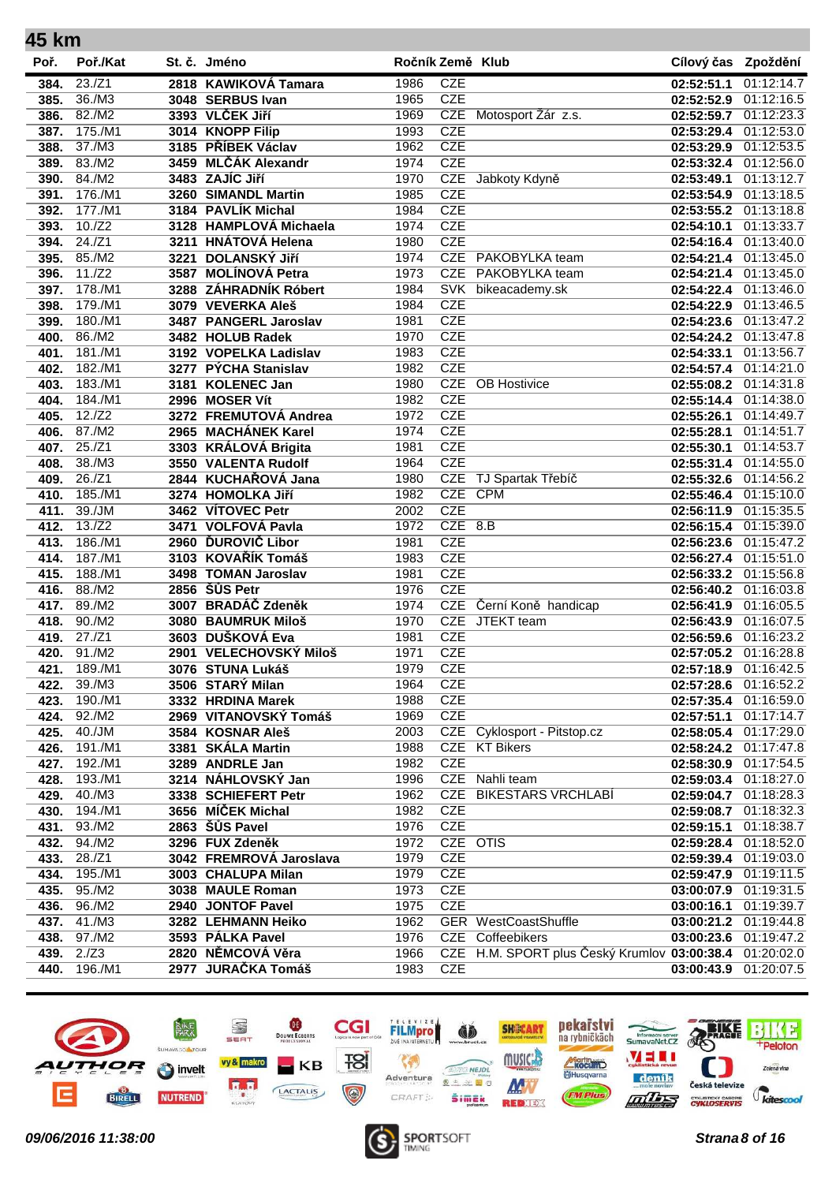| 45 km |          |                         |                  |            |                                              |                       |                          |
|-------|----------|-------------------------|------------------|------------|----------------------------------------------|-----------------------|--------------------------|
| Poř.  | Poř./Kat | St. č. Jméno            | Ročník Země Klub |            |                                              | Cílový čas Zpoždění   |                          |
| 384.  | 23./Z1   | 2818 KAWIKOVÁ Tamara    | 1986             | <b>CZE</b> |                                              | 02:52:51.1            | 01:12:14.7               |
| 385.  | 36./M3   | 3048 SERBUS Ivan        | 1965             | <b>CZE</b> |                                              | 02:52:52.9            | 01:12:16.5               |
| 386.  | 82./M2   | 3393 VLČEK Jiří         | 1969             | <b>CZE</b> | Motosport Žár z.s.                           | 02:52:59.7            | 01:12:23.3               |
| 387.  | 175./M1  | 3014 KNOPP Filip        | 1993             | <b>CZE</b> |                                              | 02:53:29.4            | 01:12:53.0               |
| 388.  | 37./M3   | 3185 PŘÍBEK Václav      | 1962             | <b>CZE</b> |                                              | 02:53:29.9            | 01:12:53.5               |
| 389.  | 83./M2   | 3459 MLČÁK Alexandr     | 1974             | <b>CZE</b> |                                              | 02:53:32.4            | 01:12:56.0               |
| 390.  | 84./M2   | 3483 ZAJÍC Jiří         | 1970             | <b>CZE</b> | Jabkoty Kdyně                                | 02:53:49.1            | 01:13:12.7               |
| 391.  | 176./M1  | 3260 SIMANDL Martin     | 1985             | <b>CZE</b> |                                              | 02:53:54.9            | 01:13:18.5               |
| 392.  | 177./M1  | 3184 PAVLÍK Michal      | 1984             | <b>CZE</b> |                                              | 02:53:55.2            | 01:13:18.8               |
| 393.  | 10./Z2   | 3128 HAMPLOVÁ Michaela  | 1974             | <b>CZE</b> |                                              | 02:54:10.1            | 01:13:33.7               |
| 394.  | 24./Z1   | 3211 HNÁTOVÁ Helena     | 1980             | <b>CZE</b> |                                              | 02:54:16.4            | 01:13:40.0               |
| 395.  | 85./M2   | 3221 DOLANSKÝ JIří      | 1974             | <b>CZE</b> | PAKOBYLKA team                               | 02:54:21.4            | 01:13:45.0               |
| 396.  | 11./Z2   | 3587 MOLÍNOVÁ Petra     | 1973             | <b>CZE</b> | PAKOBYLKA team                               | 02:54:21.4            | 01:13:45.0               |
| 397.  | 178./M1  | 3288 ZÁHRADNÍK Róbert   | 1984             | <b>SVK</b> | bikeacademy.sk                               | 02:54:22.4            | 01:13:46.0               |
| 398.  | 179./M1  | 3079 VEVERKA Aleš       | 1984             | <b>CZE</b> |                                              | 02:54:22.9            | 01:13:46.5               |
| 399.  | 180./M1  | 3487 PANGERL Jaroslav   | 1981             | CZE        |                                              | 02:54:23.6            | 01:13:47.2               |
| 400.  | 86./M2   | 3482 HOLUB Radek        | 1970             | <b>CZE</b> |                                              | 02:54:24.2            | 01:13:47.8               |
| 401.  | 181./M1  | 3192 VOPELKA Ladislav   | 1983             | <b>CZE</b> |                                              | 02:54:33.1            | 01:13:56.7               |
| 402.  | 182./M1  | 3277 PÝCHA Stanislav    | 1982             | <b>CZE</b> |                                              | 02:54:57.4            | 01:14:21.0               |
| 403.  | 183./M1  | 3181 KOLENEC Jan        | 1980             | <b>CZE</b> | <b>OB</b> Hostivice                          | 02:55:08.2            | 01:14:31.8               |
| 404.  | 184./M1  | 2996 MOSER Vít          | 1982             | <b>CZE</b> |                                              | 02:55:14.4            | 01:14:38.0               |
| 405.  | 12./Z2   | 3272 FREMUTOVÁ Andrea   | 1972             | <b>CZE</b> |                                              | 02:55:26.1            | 01:14:49.7               |
| 406.  | 87./M2   | 2965 MACHÁNEK Karel     | 1974             | <b>CZE</b> |                                              | 02:55:28.1            | 01:14:51.7               |
| 407.  | 25./Z1   | 3303 KRÁLOVÁ Brigita    | 1981             | <b>CZE</b> |                                              | 02:55:30.1            | 01:14:53.7               |
| 408.  | 38./M3   | 3550 VALENTA Rudolf     | 1964             | <b>CZE</b> |                                              | 02:55:31.4            | 01:14:55.0               |
| 409.  | 26./Z1   | 2844 KUCHAŘOVÁ Jana     | 1980             | <b>CZE</b> | TJ Spartak Třebíč                            | 02:55:32.6            | 01:14:56.2               |
| 410.  | 185./M1  | 3274 HOMOLKA Jiří       | 1982             |            | CZE CPM                                      | 02:55:46.4            | 01:15:10.0               |
| 411.  | 39./JM   | 3462 VÍTOVEC Petr       | 2002             | <b>CZE</b> |                                              | 02:56:11.9            | 01:15:35.5               |
| 412.  | 13./Z2   | 3471 VOLFOVÁ Pavla      | 1972             | $CZE$ 8.B  |                                              | 02:56:15.4            | 01:15:39.0               |
| 413.  | 186./M1  | 2960 ĎUROVIČ Libor      | 1981             | <b>CZE</b> |                                              | 02:56:23.6            | 01:15:47.2               |
| 414.  | 187./M1  | 3103 KOVAŘÍK Tomáš      | 1983             | <b>CZE</b> |                                              | 02:56:27.4            | 01:15:51.0               |
| 415.  | 188./M1  | 3498 TOMAN Jaroslav     | 1981             | <b>CZE</b> |                                              | 02:56:33.2            | 01:15:56.8               |
| 416.  | 88./M2   | 2856 ŠŮS Petr           | 1976             | <b>CZE</b> |                                              | 02:56:40.2            | 01:16:03.8               |
| 417.  | 89./M2   | 3007 BRADÁČ Zdeněk      | 1974             | <b>CZE</b> | Černí Koně handicap                          | 02:56:41.9            | 01:16:05.5               |
| 418.  | 90./M2   | 3080 BAUMRUK Miloš      | 1970             | <b>CZE</b> | JTEKT team                                   | 02:56:43.9            | $\overline{01}$ :16:07.5 |
| 419.  | 27./Z1   | 3603 DUŠKOVÁ Eva        | 1981             | <b>CZE</b> |                                              | 02:56:59.6            | 01:16:23.2               |
| 420.  | 91./M2   | 2901 VELECHOVSKÝ Miloš  | 1971             | <b>CZE</b> |                                              | 02:57:05.2            | 01:16:28.8               |
| 421.  | 189./M1  | 3076 STUNA Lukáš        | 1979             | <b>CZE</b> |                                              | 02:57:18.9            | 01:16:42.5               |
| 422.  | 39./M3   | 3506 STARÝ Milan        | 1964             | <b>CZE</b> |                                              | 02:57:28.6            | 01:16:52.2               |
| 423.  | 190./M1  | 3332 HRDINA Marek       | 1988             | <b>CZE</b> |                                              | 02:57:35.4            | 01:16:59.0               |
| 424.  | 92./M2   | 2969 VITANOVSKÝ Tomáš   | 1969             | <b>CZE</b> |                                              | 02:57:51.1            | 01:17:14.7               |
| 425.  | 40./JM   | 3584 KOSNAR Aleš        | 2003             | <b>CZE</b> | Cyklosport - Pitstop.cz                      | 02:58:05.4            | 01:17:29.0               |
| 426.  | 191./M1  | 3381 SKÁLA Martin       | 1988             |            | CZE KT Bikers                                | 02:58:24.2            | 01:17:47.8               |
| 427.  | 192./M1  | 3289 ANDRLE Jan         | 1982             | <b>CZE</b> |                                              | 02:58:30.9            | 01:17:54.5               |
| 428.  | 193./M1  | 3214 NÁHLOVSKÝ Jan      | 1996             |            | CZE Nahli team                               | 02:59:03.4            | 01:18:27.0               |
| 429.  | 40./M3   | 3338 SCHIEFERT Petr     | 1962             |            | CZE BIKESTARS VRCHLABÍ                       | 02:59:04.7            | 01:18:28.3               |
| 430.  | 194./M1  | 3656 MÍČEK Michal       | 1982             | <b>CZE</b> |                                              | 02:59:08.7            | 01:18:32.3               |
| 431.  | 93./M2   | 2863 ŠŮS Pavel          | 1976             | <b>CZE</b> |                                              | 02:59:15.1            | 01:18:38.7               |
| 432.  | 94./M2   | 3296 FUX Zdeněk         | 1972             |            | CZE OTIS                                     | 02:59:28.4            | 01:18:52.0               |
| 433.  | 28./Z1   | 3042 FREMROVÁ Jaroslava | 1979             | <b>CZE</b> |                                              | 02:59:39.4            | 01:19:03.0               |
| 434.  | 195./M1  | 3003 CHALUPA Milan      | 1979             | <b>CZE</b> |                                              | 02:59:47.9            | 01:19:11.5               |
| 435.  | 95./M2   | 3038 MAULE Roman        | 1973             | <b>CZE</b> |                                              | 03:00:07.9            | 01:19:31.5               |
| 436.  | 96./M2   | 2940 JONTOF Pavel       | 1975             | <b>CZE</b> |                                              | 03:00:16.1            | 01:19:39.7               |
| 437.  | 41./M3   | 3282 LEHMANN Heiko      | 1962             |            | <b>GER</b> WestCoastShuffle                  | 03:00:21.2 01:19:44.8 |                          |
| 438.  | 97./M2   | 3593 PÁLKA Pavel        | 1976             |            | CZE Coffeebikers                             | 03:00:23.6            | 01:19:47.2               |
| 439.  | 2./Z3    | 2820 NĚMCOVÁ Věra       | 1966             |            | CZE H.M. SPORT plus Český Krumlov 03:00:38.4 |                       | 01:20:02.0               |
| 440.  | 196./M1  | 2977 JURAČKA Tomáš      | 1983             | <b>CZE</b> |                                              | 03:00:43.9            | 01:20:07.5               |
|       |          |                         |                  |            |                                              |                       |                          |



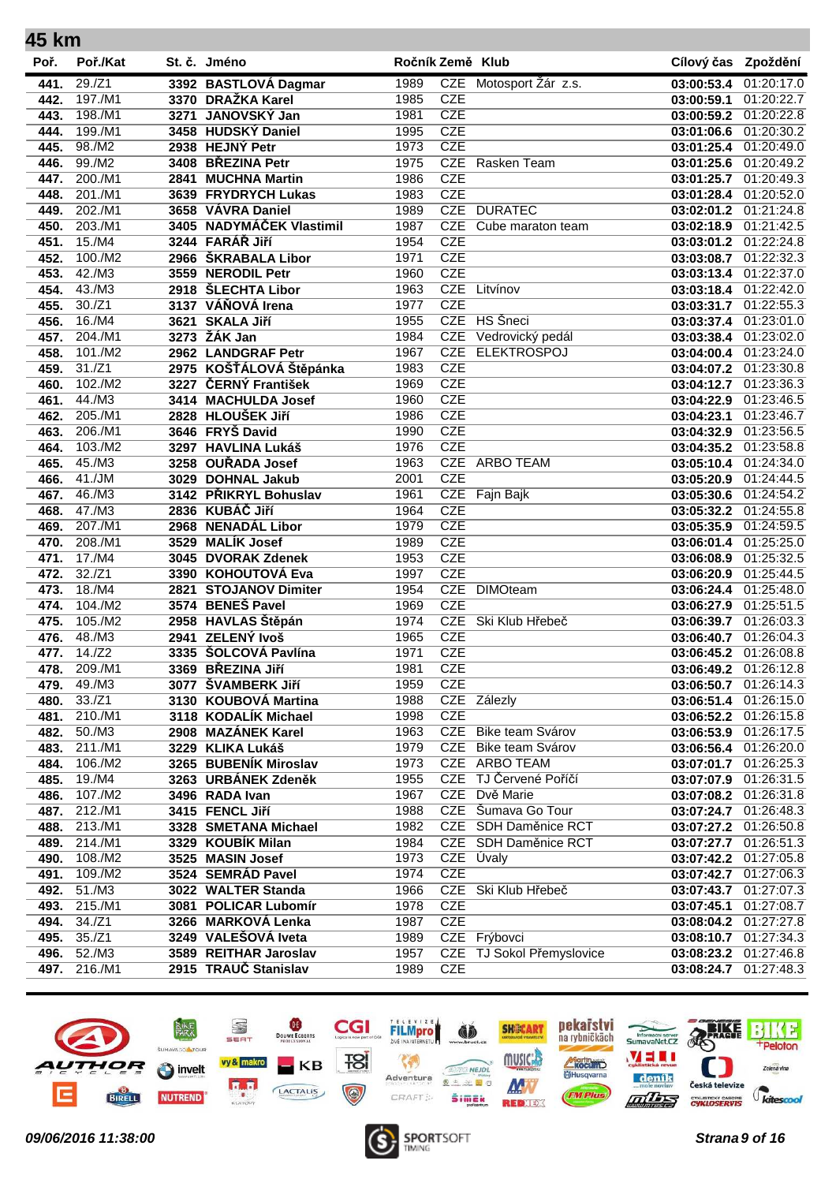| 45 km |          |                          |                  |            |                        |                     |                       |
|-------|----------|--------------------------|------------------|------------|------------------------|---------------------|-----------------------|
| Poř.  | Poř./Kat | St. č. Jméno             | Ročník Země Klub |            |                        | Cílový čas Zpoždění |                       |
| 441.  | 29./Z1   | 3392 BASTLOVÁ Dagmar     | 1989             |            | CZE Motosport Žár z.s. | 03:00:53.4          | 01:20:17.0            |
| 442.  | 197./M1  | 3370 DRAŽKA Karel        | 1985             | <b>CZE</b> |                        | 03:00:59.1          | 01:20:22.7            |
| 443.  | 198./M1  | 3271 JANOVSKÝ Jan        | 1981             | <b>CZE</b> |                        | 03:00:59.2          | 01:20:22.8            |
| 444.  | 199./M1  | 3458 HUDSKÝ Daniel       | 1995             | <b>CZE</b> |                        | 03:01:06.6          | 01:20:30.2            |
| 445.  | 98./M2   | 2938 HEJNÝ Petr          | 1973             | <b>CZE</b> |                        | 03:01:25.4          | 01:20:49.0            |
| 446.  | 99./M2   | 3408 BŘEZINA Petr        | 1975             |            | CZE Rasken Team        | 03:01:25.6          | 01:20:49.2            |
| 447.  | 200./M1  | 2841 MUCHNA Martin       | 1986             | <b>CZE</b> |                        | 03:01:25.7          | 01:20:49.3            |
| 448.  | 201./M1  | 3639 FRYDRYCH Lukas      | 1983             | <b>CZE</b> |                        | 03:01:28.4          | 01:20:52.0            |
| 449.  | 202./M1  | 3658 VÁVRA Daniel        | 1989             |            | CZE DURATEC            | 03:02:01.2          | 01:21:24.8            |
| 450.  | 203./M1  | 3405 NADYMÁČEK Vlastimil | 1987             | <b>CZE</b> | Cube maraton team      | 03:02:18.9          | 01:21:42.5            |
| 451.  | 15./M4   | 3244 FARÁŘ Jiří          | 1954             | <b>CZE</b> |                        | 03:03:01.2          | 01:22:24.8            |
| 452.  | 100./M2  | 2966 ŠKRABALA Libor      | 1971             | <b>CZE</b> |                        | 03:03:08.7          | 01:22:32.3            |
| 453.  | 42./M3   | 3559 NERODIL Petr        | 1960             | <b>CZE</b> |                        | 03:03:13.4          | 01:22:37.0            |
| 454.  | 43./M3   | 2918 ŠLECHTA Libor       | 1963             | <b>CZE</b> | Litvínov               | 03:03:18.4          | 01:22:42.0            |
| 455.  | 30./Z1   | 3137 VÁŇOVÁ Irena        | 1977             | <b>CZE</b> |                        | 03:03:31.7          | 01:22:55.3            |
| 456.  | 16./M4   | 3621 SKALA Jiří          | 1955             | <b>CZE</b> | HS Šneci               | 03:03:37.4          | 01:23:01.0            |
| 457.  | 204./M1  | 3273 ŽÁK Jan             | 1984             | <b>CZE</b> | Vedrovický pedál       | 03:03:38.4          | 01:23:02.0            |
| 458.  | 101./M2  | 2962 LANDGRAF Petr       | 1967             | <b>CZE</b> | <b>ELEKTROSPOJ</b>     | 03:04:00.4          | 01:23:24.0            |
| 459.  | 31./Z1   | 2975 KOŠŤÁLOVÁ Štěpánka  | 1983             | <b>CZE</b> |                        | 03:04:07.2          | 01:23:30.8            |
| 460.  | 102./M2  | 3227 ČERNÝ František     | 1969             | <b>CZE</b> |                        | 03:04:12.7          | 01:23:36.3            |
| 461.  | 44./M3   | 3414 MACHULDA Josef      | 1960             | <b>CZE</b> |                        | 03:04:22.9          | 01:23:46.5            |
| 462.  | 205./M1  | 2828 HLOUŠEK Jiří        | 1986             | <b>CZE</b> |                        | 03:04:23.1          | 01:23:46.7            |
| 463.  | 206./M1  | 3646 FRYŠ David          | 1990             | <b>CZE</b> |                        | 03:04:32.9          | 01:23:56.5            |
| 464.  | 103./M2  | 3297 HAVLINA Lukáš       | 1976             | <b>CZE</b> |                        | 03:04:35.2          | 01:23:58.8            |
| 465.  | 45./M3   | 3258 OUŘADA Josef        | 1963             |            | CZE ARBO TEAM          | 03:05:10.4          | 01:24:34.0            |
| 466.  | 41./JM   | 3029 DOHNAL Jakub        | 2001             | <b>CZE</b> |                        | 03:05:20.9          | 01:24:44.5            |
| 467.  | 46./M3   | 3142 PŘIKRYL Bohuslav    | 1961             | <b>CZE</b> | Fajn Bajk              | 03:05:30.6          | 01:24:54.2            |
| 468.  | 47./M3   | 2836 KUBÁČ Jiří          | 1964             | <b>CZE</b> |                        | 03:05:32.2          | 01:24:55.8            |
| 469.  | 207./M1  | 2968 NENADÁL Libor       | 1979             | <b>CZE</b> |                        | 03:05:35.9          | 01:24:59.5            |
| 470.  | 208./M1  | 3529 MALÍK Josef         | 1989             | <b>CZE</b> |                        | 03:06:01.4          | 01:25:25.0            |
| 471.  | 17./M4   | 3045 DVORAK Zdenek       | 1953             | <b>CZE</b> |                        | 03:06:08.9          | 01:25:32.5            |
| 472.  | 32./Z1   | 3390 KOHOUTOVÁ Eva       | 1997             | <b>CZE</b> |                        | 03:06:20.9          | 01:25:44.5            |
| 473.  | 18./M4   | 2821 STOJANOV Dimiter    | 1954             | <b>CZE</b> | <b>DIMOteam</b>        | 03:06:24.4          | 01:25:48.0            |
| 474.  | 104./M2  | 3574 BENEŠ Pavel         | 1969             | <b>CZE</b> |                        | 03:06:27.9          | 01:25:51.5            |
| 475.  | 105./M2  | 2958 HAVLAS Štěpán       | 1974             | <b>CZE</b> | Ski Klub Hřebeč        | 03:06:39.7          | 01:26:03.3            |
| 476.  | 48./M3   | 2941 ZELENÝ lvoš         | 1965             | <b>CZE</b> |                        | 03:06:40.7          | 01:26:04.3            |
| 477.  | 14./Z2   | 3335 ŠOLCOVÁ Pavlína     | 1971             | <b>CZE</b> |                        | 03:06:45.2          | 01:26:08.8            |
| 478.  | 209./M1  | 3369 BŘEZINA Jiří        | 1981             | CZE        |                        |                     | 03:06:49.2 01:26:12.8 |
| 479.  | 49./M3   | 3077 ŠVAMBERK JIří       | 1959             | <b>CZE</b> |                        | 03:06:50.7          | 01:26:14.3            |
| 480.  | 33./Z1   | 3130 KOUBOVÁ Martina     | 1988             |            | CZE Zálezly            | 03:06:51.4          | 01:26:15.0            |
| 481.  | 210./M1  | 3118 KODALÍK Michael     | 1998             | <b>CZE</b> |                        | 03:06:52.2          | 01:26:15.8            |
| 482.  | 50./M3   | 2908 MAZÁNEK Karel       | 1963             |            | CZE Bike team Svárov   | 03:06:53.9          | 01:26:17.5            |
| 483.  | 211./M1  | 3229 KLIKA Lukáš         | 1979             | <b>CZE</b> | Bike team Svárov       | 03:06:56.4          | 01:26:20.0            |
| 484.  | 106./M2  | 3265 BUBENÍK Miroslav    | 1973             |            | CZE ARBO TEAM          | 03:07:01.7          | 01:26:25.3            |
| 485.  | 19./M4   | 3263 URBÁNEK Zdeněk      | 1955             | <b>CZE</b> | TJ Červené Poříčí      | 03:07:07.9          | 01:26:31.5            |
| 486.  | 107./M2  | 3496 RADA Ivan           | 1967             |            | CZE Dvě Marie          |                     | 03:07:08.2 01:26:31.8 |
| 487.  | 212./M1  | 3415 FENCL Jiří          | 1988             |            | CZE Šumava Go Tour     | 03:07:24.7          | 01:26:48.3            |
| 488.  | 213./M1  | 3328 SMETANA Michael     | 1982             |            | CZE SDH Daměnice RCT   | 03:07:27.2          | 01:26:50.8            |
| 489.  | 214./M1  | 3329 KOUBÍK Milan        | 1984             |            | CZE SDH Daměnice RCT   | 03:07:27.7          | 01:26:51.3            |
| 490.  | 108./M2  | 3525 MASIN Josef         | 1973             |            | CZE Úvaly              | 03:07:42.2          | 01:27:05.8            |
| 491.  | 109./M2  | 3524 SEMRÁD Pavel        | 1974             | <b>CZE</b> |                        | 03:07:42.7          | 01:27:06.3            |
| 492.  | 51./M3   | 3022 WALTER Standa       | 1966             |            | CZE Ski Klub Hřebeč    | 03:07:43.7          | 01:27:07.3            |
| 493.  | 215./M1  | 3081 POLICAR Lubomír     | 1978             | <b>CZE</b> |                        | 03:07:45.1          | 01:27:08.7            |
| 494.  | 34./Z1   | 3266 MARKOVÁ Lenka       | 1987             | <b>CZE</b> |                        |                     | 03:08:04.2 01:27:27.8 |
| 495.  | 35./Z1   | 3249 VALEŠOVÁ Iveta      | 1989             |            | CZE Frýbovci           | 03:08:10.7          | 01:27:34.3            |
| 496.  | 52./M3   | 3589 REITHAR Jaroslav    | 1957             | <b>CZE</b> | TJ Sokol Přemyslovice  | 03:08:23.2          | 01:27:46.8            |
| 497.  | 216./M1  | 2915 TRAUČ Stanislav     | 1989             | <b>CZE</b> |                        | 03:08:24.7          | 01:27:48.3            |



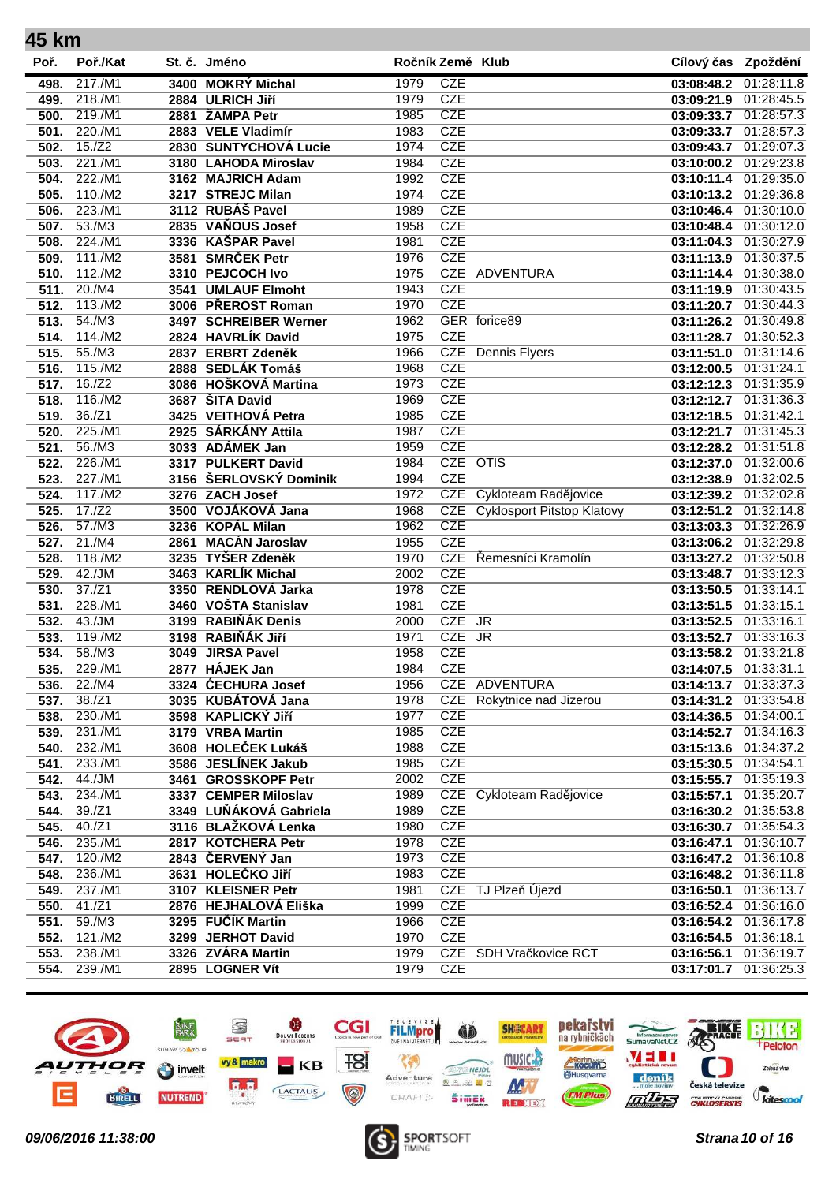| 45 km        |                   |                                           |                  |            |                                   |                          |                          |
|--------------|-------------------|-------------------------------------------|------------------|------------|-----------------------------------|--------------------------|--------------------------|
| Poř.         | Poř./Kat          | St. č. Jméno                              | Ročník Země Klub |            |                                   | Cílový čas Zpoždění      |                          |
| 498.         | 217./M1           | 3400 MOKRÝ Michal                         | 1979             | <b>CZE</b> |                                   | 03:08:48.2               | 01:28:11.8               |
| 499.         | 218./M1           | 2884 ULRICH Jiří                          | 1979             | <b>CZE</b> |                                   | 03:09:21.9               | 01:28:45.5               |
| 500.         | 219./M1           | 2881 ŽAMPA Petr                           | 1985             | <b>CZE</b> |                                   | 03:09:33.7               | 01:28:57.3               |
| 501.         | 220./M1           | 2883 VELE Vladimír                        | 1983             | <b>CZE</b> |                                   | 03:09:33.7               | 01:28:57.3               |
| 502.         | 15./Z2            | 2830 SUNTYCHOVÁ Lucie                     | 1974             | <b>CZE</b> |                                   | 03:09:43.7               | 01:29:07.3               |
| 503.         | 221./M1           | 3180 LAHODA Miroslav                      | 1984             | <b>CZE</b> |                                   | 03:10:00.2               | 01:29:23.8               |
| 504.         | 222./M1           | 3162 MAJRICH Adam                         | 1992             | <b>CZE</b> |                                   | 03:10:11.4               | 01:29:35.0               |
| 505.         | 110./M2           | 3217 STREJC Milan                         | 1974             | <b>CZE</b> |                                   | 03:10:13.2 01:29:36.8    |                          |
| 506.         | 223./M1           | 3112 RUBÁŠ Pavel                          | 1989             | <b>CZE</b> |                                   | 03:10:46.4               | 01:30:10.0               |
| 507.         | 53./M3            | 2835 VAŇOUS Josef                         | 1958             | <b>CZE</b> |                                   | 03:10:48.4               | 01:30:12.0               |
| 508.         | 224./M1           | 3336 KAŠPAR Pavel                         | 1981             | <b>CZE</b> |                                   | 03:11:04.3               | 01:30:27.9               |
| 509.         | 111./M2           | 3581 SMRČEK Petr                          | 1976             | <b>CZE</b> |                                   | 03:11:13.9               | 01:30:37.5               |
| 510.         | 112./M2           | 3310 PEJCOCH Ivo                          | 1975             |            | CZE ADVENTURA                     | 03:11:14.4               | 01:30:38.0               |
| 511.         | 20./M4            | 3541 UMLAUF Elmoht                        | 1943             | <b>CZE</b> |                                   | 03:11:19.9               | 01:30:43.5               |
| 512.         | 113./M2           | 3006 PŘEROST Roman                        | 1970             | <b>CZE</b> |                                   | 03:11:20.7               | 01:30:44.3               |
| 513.         | 54./M3            | 3497 SCHREIBER Werner                     | 1962             |            | GER forice89                      | 03:11:26.2               | 01:30:49.8               |
| 514.         | 114./M2           | 2824 HAVRLÍK David                        | 1975             | <b>CZE</b> |                                   | 03:11:28.7               | 01:30:52.3               |
| 515.         | 55./M3            | 2837 ERBRT Zdeněk                         | 1966             | <b>CZE</b> | <b>Dennis Flyers</b>              | 03:11:51.0               | 01:31:14.6               |
| 516.         | 115./M2           | 2888 SEDLÁK Tomáš                         | 1968             | <b>CZE</b> |                                   | 03:12:00.5               | 01:31:24.1               |
| 517.         | 16./Z2            | 3086 HOŠKOVÁ Martina                      | 1973             | <b>CZE</b> |                                   | 03:12:12.3               | 01:31:35.9               |
| 518.         | 116./M2           | 3687 ŠITA David                           | 1969             | <b>CZE</b> |                                   | 03:12:12.7               | 01:31:36.3               |
| 519.         | 36./Z1            | 3425 VEITHOVÁ Petra                       | 1985             | <b>CZE</b> |                                   | 03:12:18.5               | 01:31:42.1               |
| 520.         | 225./M1           | 2925 SÁRKÁNY Attila                       | 1987             | <b>CZE</b> |                                   | 03:12:21.7               | 01:31:45.3               |
| 521.         | 56./M3            | 3033 ADÁMEK Jan                           | 1959             | <b>CZE</b> |                                   | 03:12:28.2               | 01:31:51.8               |
| 522.         | 226./M1           | 3317 PULKERT David                        | 1984             | CZE OTIS   |                                   | 03:12:37.0               | 01:32:00.6               |
| 523.         | 227./M1           | 3156 ŠERLOVSKÝ Dominik                    | 1994             | <b>CZE</b> |                                   | 03:12:38.9               | 01:32:02.5               |
| 524.         | 117./M2           | 3276 ZACH Josef                           | 1972             |            | CZE Cykloteam Radějovice          | 03:12:39.2               | 01:32:02.8               |
| 525.         | 17./Z2            | 3500 VOJÁKOVÁ Jana                        | 1968             | <b>CZE</b> | <b>Cyklosport Pitstop Klatovy</b> | 03:12:51.2               | 01:32:14.8               |
| 526.         | 57./M3            | 3236 KOPÁL Milan                          | 1962             | <b>CZE</b> |                                   | 03:13:03.3               | 01:32:26.9               |
| 527.         | 21./M4            | 2861 MACÁN Jaroslav                       | 1955             | <b>CZE</b> |                                   | 03:13:06.2               | 01:32:29.8               |
| 528.         | 118./M2           | 3235 TYŠER Zdeněk                         | 1970             | <b>CZE</b> | CZE Řemesníci Kramolín            | 03:13:27.2               | 01:32:50.8               |
| 529.         | 42./JM<br>37./Z1  | 3463 KARLÍK Michal<br>3350 RENDLOVÁ Jarka | 2002<br>1978     | <b>CZE</b> |                                   | 03:13:48.7               | 01:33:12.3               |
| 530.         |                   | 3460 VOŠTA Stanislav                      |                  | <b>CZE</b> |                                   | 03:13:50.5               | 01:33:14.1               |
| 531.<br>532. | 228./M1<br>43./JM | 3199 RABIŇÁK Denis                        | 1981<br>2000     | CZE JR     |                                   | 03:13:51.5               | 01:33:15.1<br>01:33:16.1 |
| 533.         | 119./M2           | 3198 RABIŇÁK JIří                         | 1971             | CZE JR     |                                   | 03:13:52.5<br>03:13:52.7 | 01:33:16.3               |
| 534.         | 58./M3            | 3049 JIRSA Pavel                          | 1958             | <b>CZE</b> |                                   | 03:13:58.2               | 01:33:21.8               |
| 535.         | 229./M1           | 2877 HÁJEK Jan                            | 1984             | <b>CZE</b> |                                   | 03:14:07.5               | 01:33:31.1               |
| 536.         | 22./M4            | 3324 ĆECHURA Josef                        | 1956             |            | CZE ADVENTURA                     | 03:14:13.7               | 01:33:37.3               |
| 537.         | 38./Z1            | 3035 KUBÁTOVÁ Jana                        | 1978             | <b>CZE</b> | Rokytnice nad Jizerou             | 03:14:31.2               | 01:33:54.8               |
| 538.         | 230./M1           | 3598 KAPLICKÝ JIří                        | 1977             | <b>CZE</b> |                                   | 03:14:36.5               | 01:34:00.1               |
| 539.         | 231./M1           | 3179 VRBA Martin                          | 1985             | <b>CZE</b> |                                   | 03:14:52.7               | 01:34:16.3               |
| 540.         | 232./M1           | 3608 HOLEČEK Lukáš                        | 1988             | <b>CZE</b> |                                   | 03:15:13.6               | 01:34:37.2               |
| 541.         | 233./M1           | 3586 JESLÍNEK Jakub                       | 1985             | <b>CZE</b> |                                   | 03:15:30.5               | 01:34:54.1               |
| 542.         | 44./JM            | 3461 GROSSKOPF Petr                       | 2002             | <b>CZE</b> |                                   | 03:15:55.7               | 01:35:19.3               |
| 543.         | 234./M1           | 3337 CEMPER Miloslav                      | 1989             |            | CZE Cykloteam Radějovice          | 03:15:57.1               | 01:35:20.7               |
| 544.         | 39./Z1            | 3349 LUŇÁKOVÁ Gabriela                    | 1989             | <b>CZE</b> |                                   |                          | 03:16:30.2 01:35:53.8    |
| 545.         | 40./Z1            | 3116 BLAŽKOVÁ Lenka                       | 1980             | <b>CZE</b> |                                   | 03:16:30.7               | 01:35:54.3               |
| 546.         | 235./M1           | 2817 KOTCHERA Petr                        | 1978             | <b>CZE</b> |                                   | 03:16:47.1               | 01:36:10.7               |
| 547.         | 120./M2           | 2843 ČERVENÝ Jan                          | 1973             | <b>CZE</b> |                                   | 03:16:47.2               | 01:36:10.8               |
| 548.         | 236./M1           | 3631 HOLEČKO JIří                         | 1983             | <b>CZE</b> |                                   | 03:16:48.2               | 01:36:11.8               |
| 549.         | 237./M1           | 3107 KLEISNER Petr                        | 1981             |            | CZE TJ Plzeň Újezd                | 03:16:50.1               | 01:36:13.7               |
| 550.         | 41./Z1            | 2876 HEJHALOVÁ Eliška                     | 1999             | <b>CZE</b> |                                   | 03:16:52.4               | 01:36:16.0               |
| 551.         | 59./M3            | 3295 FUČÍK Martin                         | 1966             | <b>CZE</b> |                                   | 03:16:54.2               | 01:36:17.8               |
| 552.         | 121./M2           | 3299 JERHOT David                         | 1970             | <b>CZE</b> |                                   | 03:16:54.5               | 01:36:18.1               |
| 553.         | 238./M1           | 3326 ZVÁRA Martin                         | 1979             |            | CZE SDH Vračkovice RCT            | 03:16:56.1               | 01:36:19.7               |
| 554.         | 239./M1           | 2895 LOGNER Vít                           | 1979             | <b>CZE</b> |                                   | 03:17:01.7               | 01:36:25.3               |
|              |                   |                                           |                  |            |                                   |                          |                          |



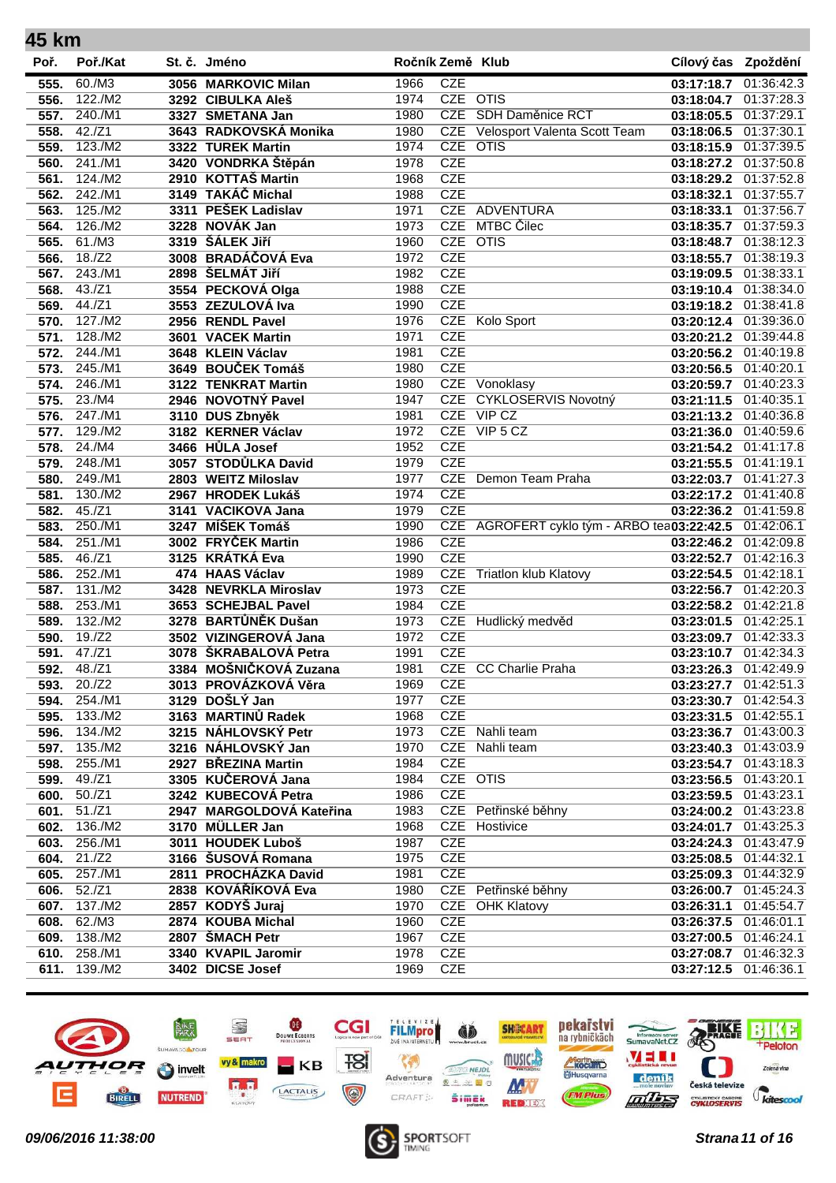| 45 km |                            |                          |                  |            |                                             |                       |            |
|-------|----------------------------|--------------------------|------------------|------------|---------------------------------------------|-----------------------|------------|
| Poř.  | Poř./Kat                   | St. č. Jméno             | Ročník Země Klub |            |                                             | Cílový čas Zpoždění   |            |
| 555.  | 60./M3                     | 3056 MARKOVIC Milan      | 1966             | <b>CZE</b> |                                             | 03:17:18.7            | 01:36:42.3 |
| 556.  | 122./M2                    | 3292 CIBULKA Aleš        | 1974             | CZE OTIS   |                                             | 03:18:04.7            | 01:37:28.3 |
| 557.  | 240./M1                    | 3327 SMETANA Jan         | 1980             | <b>CZE</b> | SDH Daměnice RCT                            | 03:18:05.5            | 01:37:29.1 |
| 558.  | 42./Z1                     | 3643 RADKOVSKÁ Monika    | 1980             | <b>CZE</b> | Velosport Valenta Scott Team                | 03:18:06.5            | 01:37:30.1 |
| 559.  | 123./M2                    | 3322 TUREK Martin        | 1974             | <b>CZE</b> | <b>OTIS</b>                                 | 03:18:15.9            | 01:37:39.5 |
| 560.  | 241./M1                    | 3420 VONDRKA Štěpán      | 1978             | <b>CZE</b> |                                             | 03:18:27.2            | 01:37:50.8 |
| 561.  | 124./M2                    | 2910 KOTTAŠ Martin       | 1968             | <b>CZE</b> |                                             | 03:18:29.2            | 01:37:52.8 |
| 562.  | 242./M1                    | 3149 TAKÁČ Michal        | 1988             | <b>CZE</b> |                                             | 03:18:32.1            | 01:37:55.7 |
| 563.  | 125./M2                    | 3311 PEŠEK Ladislav      | 1971             |            | CZE ADVENTURA                               | 03:18:33.1            | 01:37:56.7 |
| 564.  | 126./M2                    | 3228 NOVÁK Jan           | 1973             | <b>CZE</b> | MTBC Čilec                                  | 03:18:35.7            | 01:37:59.3 |
| 565.  | 61./M3                     | 3319 ŠÁLEK Jiří          | 1960             | CZE OTIS   |                                             | 03:18:48.7            | 01:38:12.3 |
| 566.  | 18./Z2                     | 3008 BRADÁČOVÁ Eva       | 1972             | <b>CZE</b> |                                             | 03:18:55.7            | 01:38:19.3 |
| 567.  | 243./M1                    | 2898 ŠELMÁT JIří         | 1982             | <b>CZE</b> |                                             | 03:19:09.5            | 01:38:33.1 |
| 568.  | 43./Z1                     | 3554 PECKOVÁ Olga        | 1988             | <b>CZE</b> |                                             | 03:19:10.4            | 01:38:34.0 |
| 569.  | 44./Z1                     | 3553 ZEZULOVÁ Iva        | 1990             | <b>CZE</b> |                                             | 03:19:18.2            | 01:38:41.8 |
| 570.  | 127./M2                    | 2956 RENDL Pavel         | 1976             | <b>CZE</b> | Kolo Sport                                  | 03:20:12.4            | 01:39:36.0 |
| 571.  | 128./M2                    | 3601 VACEK Martin        | 1971             | <b>CZE</b> |                                             | 03:20:21.2            | 01:39:44.8 |
| 572.  | 244./M1                    | 3648 KLEIN Václav        | 1981             | <b>CZE</b> |                                             | 03:20:56.2            | 01:40:19.8 |
| 573.  | 245./M1                    | 3649 BOUČEK Tomáš        | 1980             | <b>CZE</b> |                                             | 03:20:56.5            | 01:40:20.1 |
| 574.  | 246./M1                    | 3122 TENKRAT Martin      | 1980             | <b>CZE</b> | Vonoklasy                                   | 03:20:59.7            | 01:40:23.3 |
| 575.  | 23./M4                     | 2946 NOVOTNÝ Pavel       | 1947             | <b>CZE</b> | CYKLOSERVIS Novotný                         | 03:21:11.5            | 01:40:35.1 |
| 576.  | 247./M1                    | 3110 DUS Zbnyěk          | 1981             | <b>CZE</b> | VIP CZ                                      | 03:21:13.2            | 01:40:36.8 |
| 577.  | 129./M2                    | 3182 KERNER Václav       | 1972             |            | CZE VIP 5 CZ                                | 03:21:36.0            | 01:40:59.6 |
| 578.  | $24./\overline{\text{M4}}$ | 3466 HŮLA Josef          | 1952             | <b>CZE</b> |                                             | 03:21:54.2            | 01:41:17.8 |
| 579.  | 248./M1                    | 3057 STODŮLKA David      | 1979             | <b>CZE</b> |                                             | 03:21:55.5            | 01:41:19.1 |
| 580.  | 249./M1                    | 2803 WEITZ Miloslav      | 1977             | CZE        | Demon Team Praha                            | 03:22:03.7            | 01:41:27.3 |
| 581.  | 130./M2                    | 2967 HRODEK Lukáš        | 1974             | <b>CZE</b> |                                             | 03:22:17.2            | 01:41:40.8 |
| 582.  | 45./Z1                     | 3141 VACIKOVA Jana       | 1979             | <b>CZE</b> |                                             | 03:22:36.2            | 01:41:59.8 |
| 583.  | 250./M1                    | 3247 MÍŠEK Tomáš         | 1990             |            | CZE AGROFERT cyklo tým - ARBO tea03:22:42.5 |                       | 01:42:06.1 |
| 584.  | 251./M1                    | 3002 FRYČEK Martin       | 1986             | <b>CZE</b> |                                             | 03:22:46.2            | 01:42:09.8 |
| 585.  | 46./Z1                     | 3125 KRÁTKÁ Eva          | 1990             | <b>CZE</b> |                                             | 03:22:52.7            | 01:42:16.3 |
| 586.  | 252./M1                    | 474 HAAS Václav          | 1989             | <b>CZE</b> | <b>Triatlon klub Klatovy</b>                | 03:22:54.5            | 01:42:18.1 |
| 587.  | 131./M2                    | 3428 NEVRKLA Miroslav    | 1973             | <b>CZE</b> |                                             | 03:22:56.7            | 01:42:20.3 |
| 588.  | 253./M1                    | 3653 SCHEJBAL Pavel      | 1984             | <b>CZE</b> |                                             | 03:22:58.2            | 01:42:21.8 |
| 589.  | 132./M2                    | 3278 BARTŮNĚK Dušan      | 1973             | <b>CZE</b> | Hudlický medvěd                             | 03:23:01.5            | 01:42:25.1 |
| 590.  | 19./Z2                     | 3502 VIZINGEROVÁ Jana    | 1972             | <b>CZE</b> |                                             | 03:23:09.7            | 01:42:33.3 |
| 591.  | 47./Z1                     | 3078 ŠKRABALOVÁ Petra    | 1991             | <b>CZE</b> |                                             | 03:23:10.7            | 01:42:34.3 |
| 592.  | 48./Z1                     | 3384 MOŠNIČKOVÁ Zuzana   | 1981             |            | CZE CC Charlie Praha                        | 03:23:26.3 01:42:49.9 |            |
| 593.  | 20./Z2                     | 3013 PROVÁZKOVÁ Věra     | 1969             | <b>CZE</b> |                                             | 03:23:27.7            | 01:42:51.3 |
| 594.  | 254./M1                    | 3129 DOŠLÝ Jan           | 1977             | <b>CZE</b> |                                             | 03:23:30.7            | 01:42:54.3 |
| 595.  | 133./M2                    | 3163 MARTINŮ Radek       | 1968             | <b>CZE</b> |                                             | 03:23:31.5            | 01:42:55.1 |
| 596.  | 134./M2                    | 3215 NÁHLOVSKÝ Petr      | 1973             |            | CZE Nahli team                              | 03:23:36.7            | 01:43:00.3 |
| 597.  | 135./M2                    | 3216 NÁHLOVSKÝ Jan       | 1970             |            | CZE Nahli team                              | 03:23:40.3            | 01:43:03.9 |
| 598.  | 255./M1                    | 2927 BŘEZINA Martin      | 1984             | <b>CZE</b> |                                             | 03:23:54.7            | 01:43:18.3 |
| 599.  | 49./Z1                     | 3305 KUČEROVÁ Jana       | 1984             | CZE OTIS   |                                             | 03:23:56.5            | 01:43:20.1 |
| 600.  | 50./Z1                     | 3242 KUBECOVÁ Petra      | 1986             | <b>CZE</b> |                                             | 03:23:59.5            | 01:43:23.1 |
| 601.  | 51./Z1                     | 2947 MARGOLDOVÁ Kateřina | 1983             |            | CZE Petřinské běhny                         | 03:24:00.2            | 01:43:23.8 |
| 602.  | 136./M2                    | 3170 MÜLLER Jan          | 1968             |            | CZE Hostivice                               | 03:24:01.7            | 01:43:25.3 |
| 603.  | 256./M1                    | 3011 HOUDEK Luboš        | 1987             | <b>CZE</b> |                                             | 03:24:24.3            | 01:43:47.9 |
| 604.  | 21./Z2                     | 3166 ŠUSOVÁ Romana       | 1975             | <b>CZE</b> |                                             | 03:25:08.5            | 01:44:32.1 |
| 605.  | 257./M1                    | 2811 PROCHÁZKA David     | 1981             | <b>CZE</b> |                                             | 03:25:09.3            | 01:44:32.9 |
| 606.  | 52./Z1                     | 2838 KOVÁŘÍKOVÁ Eva      | 1980             |            | CZE Petřinské běhny                         | 03:26:00.7            | 01:45:24.3 |
| 607.  | 137./M2                    | 2857 KODYŠ Juraj         | 1970             |            | <b>CZE</b> OHK Klatovy                      | 03:26:31.1            | 01:45:54.7 |
| 608.  | 62./M3                     | 2874 KOUBA Michal        | 1960             | <b>CZE</b> |                                             | 03:26:37.5            | 01:46:01.1 |
| 609.  | 138./M2                    | 2807 ŠMACH Petr          | 1967             | <b>CZE</b> |                                             | 03:27:00.5            | 01:46:24.1 |
| 610.  | 258./M1                    | 3340 KVAPIL Jaromir      | 1978             | <b>CZE</b> |                                             | 03:27:08.7            | 01:46:32.3 |
| 611.  | 139./M2                    | 3402 DICSE Josef         | 1969             | <b>CZE</b> |                                             | 03:27:12.5            | 01:46:36.1 |
|       |                            |                          |                  |            |                                             |                       |            |



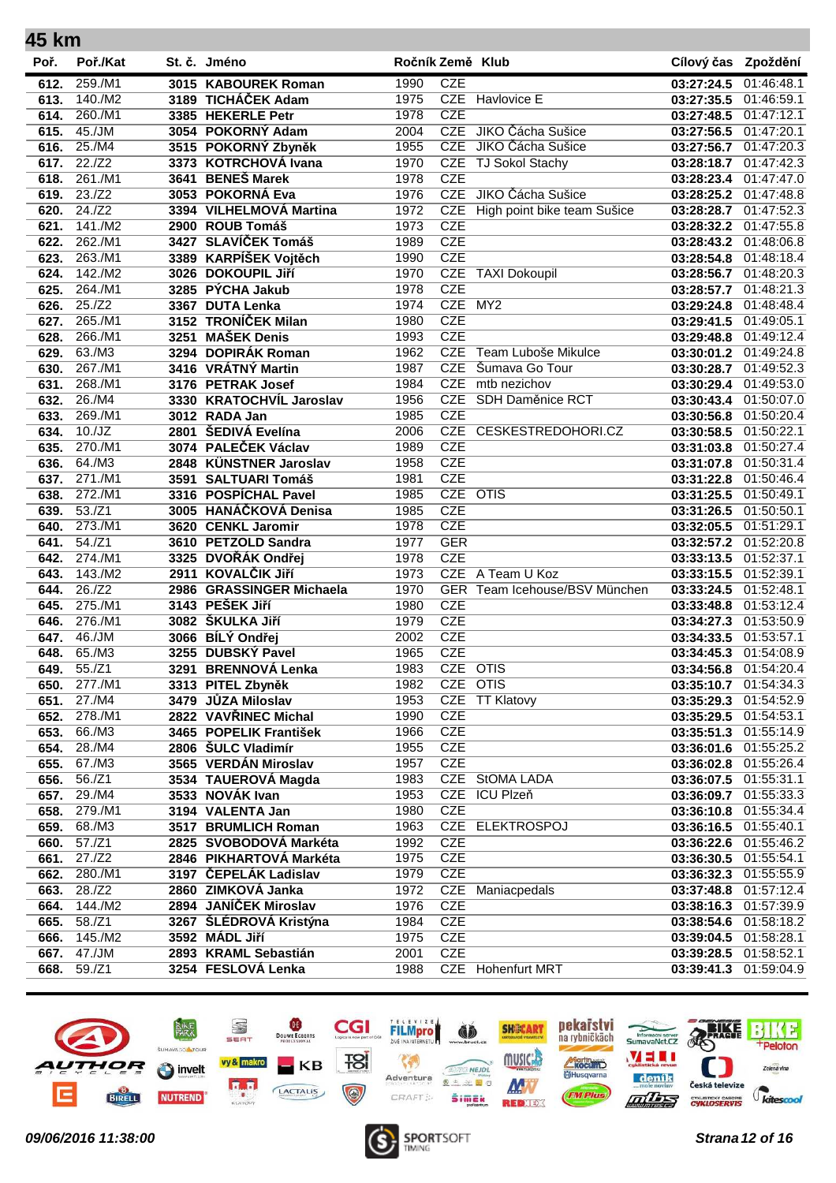| 45 km        |                   |                                             |              |                   |                                               |                          |                          |
|--------------|-------------------|---------------------------------------------|--------------|-------------------|-----------------------------------------------|--------------------------|--------------------------|
| Poř.         | Poř./Kat          | St. č. Jméno                                |              | Ročník Země Klub  |                                               | Cílový čas Zpoždění      |                          |
| 612.         | 259./M1           | 3015 KABOUREK Roman                         | 1990         | <b>CZE</b>        |                                               | 03:27:24.5               | 01:46:48.1               |
| 613.         | 140./M2           | 3189 TICHÁČEK Adam                          | 1975         |                   | CZE Havlovice E                               | 03:27:35.5               | 01:46:59.1               |
| 614.         | 260./M1           | 3385 HEKERLE Petr                           | 1978         | <b>CZE</b>        |                                               | 03:27:48.5               | 01:47:12.1               |
| 615.         | 45./JM            | 3054 POKORNÝ Adam                           | 2004         | <b>CZE</b>        | JIKO Čácha Sušice                             | 03:27:56.5               | 01:47:20.1               |
| 616.         | 25./M4            | 3515 POKORNÝ Zbyněk                         | 1955         | <b>CZE</b>        | JIKO Čácha Sušice                             | 03:27:56.7 01:47:20.3    |                          |
| 617.         | 22./Z2            | 3373 KOTRCHOVÁ Ivana                        | 1970         | <b>CZE</b>        | <b>TJ Sokol Stachy</b>                        | 03:28:18.7               | 01:47:42.3               |
| 618.         | 261./M1           | 3641 BENEŠ Marek                            | 1978         | <b>CZE</b>        |                                               | 03:28:23.4 01:47:47.0    |                          |
| 619.         | 23./Z2            | 3053 POKORNÁ Eva                            | 1976         |                   | CZE JIKO Čácha Sušice                         | 03:28:25.2 01:47:48.8    |                          |
| 620.         | 24./Z2            | 3394 VILHELMOVÁ Martina                     | 1972         |                   | CZE High point bike team Sušice               | 03:28:28.7               | 01:47:52.3               |
| 621.         | 141./M2           | 2900 ROUB Tomáš                             | 1973         | <b>CZE</b>        |                                               | 03:28:32.2               | 01:47:55.8               |
| 622.         | 262./M1           | 3427 SLAVÍČEK Tomáš                         | 1989         | <b>CZE</b>        |                                               | 03:28:43.2 01:48:06.8    |                          |
| 623.         | 263./M1           | 3389 KARPÍŠEK Vojtěch                       | 1990         | <b>CZE</b>        |                                               | 03:28:54.8               | 01:48:18.4               |
| 624.         | 142./M2           | 3026 DOKOUPIL Jiří                          | 1970         | <b>CZE</b>        | <b>TAXI Dokoupil</b>                          | 03:28:56.7 01:48:20.3    |                          |
| 625.         | 264./M1           | 3285 PÝCHA Jakub                            | 1978         | <b>CZE</b>        |                                               | 03:28:57.7               | 01:48:21.3               |
| 626.         | 25./Z2            | 3367 DUTA Lenka                             | 1974         | CZE MY2           |                                               | 03:29:24.8               | 01:48:48.4               |
| 627.         | 265./M1           | 3152 TRONÍČEK Milan                         | 1980         | <b>CZE</b>        |                                               | 03:29:41.5               | 01:49:05.1               |
| 628.         | 266./M1           | 3251 MAŠEK Denis                            | 1993         | <b>CZE</b>        |                                               | 03:29:48.8               | 01:49:12.4               |
| 629.         | 63./M3            | 3294 DOPIRÁK Roman                          | 1962         | <b>CZE</b>        | Team Luboše Mikulce                           | 03:30:01.2               | 01:49:24.8               |
| 630.         | 267./M1           | 3416 VRÁTNÝ Martin                          | 1987         | <b>CZE</b>        | Šumava Go Tour                                | 03:30:28.7               | 01:49:52.3               |
| 631.         | 268./M1           | 3176 PETRAK Josef                           | 1984         | <b>CZE</b>        | mtb nezichov                                  | 03:30:29.4               | 01:49:53.0               |
| 632.         | 26./M4            | 3330 KRATOCHVÍL Jaroslav                    | 1956         | CZE               | SDH Daměnice RCT                              | 03:30:43.4               | 01:50:07.0               |
| 633.         | 269./M1           | 3012 RADA Jan                               | 1985         | <b>CZE</b>        |                                               | 03:30:56.8               | 01:50:20.4               |
| 634.         | 10./JZ            | 2801 ŠEDIVÁ Evelína                         | 2006         |                   | CZE CESKESTREDOHORI.CZ                        | 03:30:58.5               | 01:50:22.1               |
| 635.         | 270./M1           | 3074 PALEČEK Václav                         | 1989         | <b>CZE</b>        |                                               | 03:31:03.8               | 01:50:27.4               |
| 636.         | 64./M3            | 2848 KÜNSTNER Jaroslav                      | 1958         | <b>CZE</b>        |                                               | 03:31:07.8               | 01:50:31.4               |
| 637.         | 271./M1           | 3591 SALTUARI Tomáš                         | 1981         | <b>CZE</b>        |                                               | 03:31:22.8               | 01:50:46.4               |
| 638.         | 272./M1           | 3316 POSPÍCHAL Pavel                        | 1985         | CZE OTIS          |                                               | 03:31:25.5               | 01:50:49.1               |
| 639.         | 53./Z1            | 3005 HANÁČKOVÁ Denisa                       | 1985         | <b>CZE</b>        |                                               | 03:31:26.5               | 01:50:50.1               |
| 640.         | 273./M1           | 3620 CENKL Jaromir                          | 1978         | <b>CZE</b>        |                                               | 03:32:05.5               | 01:51:29.1               |
| 641.         | 54./Z1            | 3610 PETZOLD Sandra                         | 1977         | <b>GER</b>        |                                               | 03:32:57.2               | 01:52:20.8               |
| 642.         | 274./M1           | 3325 DVOŘÁK Ondřej                          | 1978         | <b>CZE</b><br>CZE |                                               | 03:33:13.5 01:52:37.1    |                          |
| 643.         | 143./M2<br>26./Z2 | 2911 KOVALČIK Jiří                          | 1973<br>1970 |                   | A Team U Koz<br>GER Team Icehouse/BSV München | 03:33:15.5               | 01:52:39.1               |
| 644.         | 275./M1           | 2986 GRASSINGER Michaela<br>3143 PEŠEK Jiří | 1980         | <b>CZE</b>        |                                               | 03:33:24.5               | 01:52:48.1<br>01:53:12.4 |
| 645.<br>646. | 276./M1           | 3082 ŠKULKA JIří                            | 1979         | <b>CZE</b>        |                                               | 03:33:48.8<br>03:34:27.3 | 01:53:50.9               |
| 647.         | 46./JM            | 3066 BÍLÝ Ondřej                            | 2002         | <b>CZE</b>        |                                               | 03:34:33.5               | 01:53:57.1               |
| 648.         | 65./M3            | 3255 DUBSKÝ Pavel                           | 1965         | <b>CZE</b>        |                                               | 03:34:45.3               | 01:54:08.9               |
| 649.         | 55./Z1            | 3291 BRENNOVÁ Lenka                         | 1983         | CZE OTIS          |                                               | 03:34:56.8 01:54:20.4    |                          |
| 650.         | 277./M1           | 3313 PITEL Zbyněk                           | 1982         | CZE OTIS          |                                               | 03:35:10.7 01:54:34.3    |                          |
| 651.         | 27./M4            | 3479 JŮZA Miloslav                          | 1953         |                   | CZE TT Klatovy                                | 03:35:29.3 01:54:52.9    |                          |
| 652.         | 278./M1           | 2822 VAVŘINEC Michal                        | 1990         | <b>CZE</b>        |                                               | 03:35:29.5 01:54:53.1    |                          |
| 653.         | 66./M3            | 3465 POPELIK František                      | 1966         | <b>CZE</b>        |                                               | 03:35:51.3               | 01:55:14.9               |
| 654.         | 28./M4            | 2806 ŠULC Vladimír                          | 1955         | <b>CZE</b>        |                                               | 03:36:01.6               | 01:55:25.2               |
| 655.         | 67./M3            | 3565 VERDAN Miroslav                        | 1957         | <b>CZE</b>        |                                               | 03:36:02.8               | 01:55:26.4               |
| 656.         | 56./Z1            | 3534 TAUEROVÁ Magda                         | 1983         |                   | CZE StOMA LADA                                | 03:36:07.5 01:55:31.1    |                          |
| 657.         | 29./M4            | 3533 NOVÁK Ivan                             | 1953         |                   | CZE ICU Plzeň                                 | 03:36:09.7               | 01:55:33.3               |
| 658.         | 279./M1           | 3194 VALENTA Jan                            | 1980         | <b>CZE</b>        |                                               | 03:36:10.8 01:55:34.4    |                          |
| 659.         | 68./M3            | 3517 BRUMLICH Roman                         | 1963         |                   | CZE ELEKTROSPOJ                               | 03:36:16.5 01:55:40.1    |                          |
| 660.         | 57./Z1            | 2825 SVOBODOVÁ Markéta                      | 1992         | <b>CZE</b>        |                                               | 03:36:22.6 01:55:46.2    |                          |
| 661.         | 27./Z2            | 2846 PIKHARTOVÁ Markéta                     | 1975         | <b>CZE</b>        |                                               | 03:36:30.5               | 01:55:54.1               |
| 662.         | 280./M1           | 3197 ČEPELÁK Ladislav                       | 1979         | <b>CZE</b>        |                                               | 03:36:32.3 01:55:55.9    |                          |
| 663.         | 28./Z2            | 2860 ZIMKOVÁ Janka                          | 1972         | <b>CZE</b>        | Maniacpedals                                  | 03:37:48.8               | 01:57:12.4               |
| 664.         | 144./M2           | 2894 JANÍČEK Miroslav                       | 1976         | <b>CZE</b>        |                                               | 03:38:16.3 01:57:39.9    |                          |
| 665.         | 58./Z1            | 3267 ŠLÉDROVÁ Kristýna                      | 1984         | <b>CZE</b>        |                                               | 03:38:54.6               | 01:58:18.2               |
| 666.         | 145./M2           | 3592 MÁDL Jiří                              | 1975         | <b>CZE</b>        |                                               | 03:39:04.5 01:58:28.1    |                          |
| 667.         | 47./JM            | 2893 KRAML Sebastián                        | 2001         | <b>CZE</b>        |                                               | 03:39:28.5               | 01:58:52.1               |
| 668.         | 59./Z1            | 3254 FESLOVÁ Lenka                          | 1988         | <b>CZE</b>        | <b>Hohenfurt MRT</b>                          | 03:39:41.3               | 01:59:04.9               |



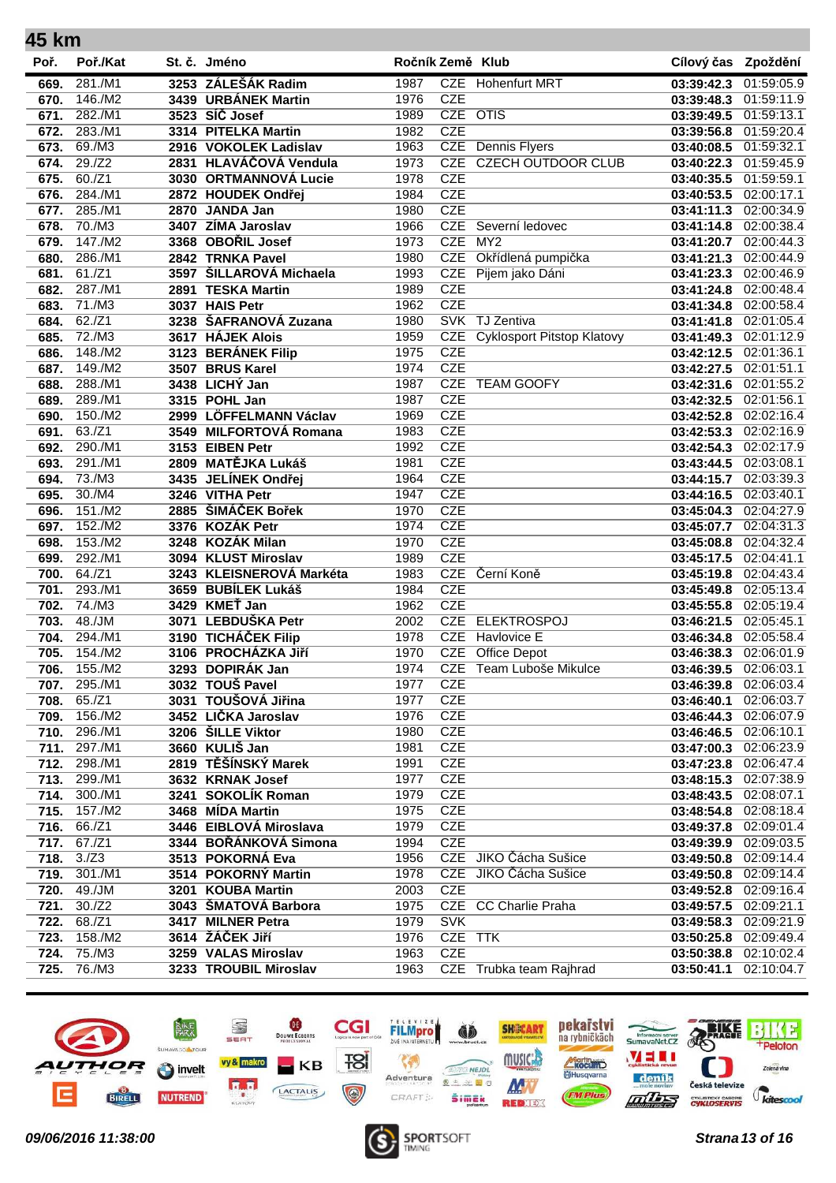| 45 km |          |                          |                  |            |                                   |                       |            |
|-------|----------|--------------------------|------------------|------------|-----------------------------------|-----------------------|------------|
| Poř.  | Poř./Kat | St. č. Jméno             | Ročník Země Klub |            |                                   | Cílový čas Zpoždění   |            |
| 669.  | 281./M1  | 3253 ZÁLEŠÁK Radim       | 1987             |            | CZE Hohenfurt MRT                 | 03:39:42.3            | 01:59:05.9 |
| 670.  | 146./M2  | 3439 URBÁNEK Martin      | 1976             | <b>CZE</b> |                                   | 03:39:48.3            | 01:59:11.9 |
| 671.  | 282./M1  | 3523 SÍČ Josef           | 1989             | CZE OTIS   |                                   | 03:39:49.5            | 01:59:13.1 |
| 672.  | 283./M1  | 3314 PITELKA Martin      | 1982             | <b>CZE</b> |                                   | 03:39:56.8            | 01:59:20.4 |
| 673.  | 69./M3   | 2916 VOKOLEK Ladislav    | 1963             |            | <b>CZE</b> Dennis Flyers          | 03:40:08.5            | 01:59:32.1 |
| 674.  | 29./Z2   | 2831 HLAVÁČOVÁ Vendula   | 1973             | <b>CZE</b> | <b>CZECH OUTDOOR CLUB</b>         | 03:40:22.3            | 01:59:45.9 |
| 675.  | 60./Z1   | 3030 ORTMANNOVÁ Lucie    | 1978             | <b>CZE</b> |                                   | 03:40:35.5            | 01:59:59.1 |
| 676.  | 284./M1  | 2872 HOUDEK Ondřej       | 1984             | <b>CZE</b> |                                   | 03:40:53.5            | 02:00:17.1 |
| 677.  | 285./M1  | 2870 JANDA Jan           | 1980             | <b>CZE</b> |                                   | 03:41:11.3            | 02:00:34.9 |
| 678.  | 70./M3   | 3407 ZÍMA Jaroslav       | 1966             |            | CZE Severní ledovec               | 03:41:14.8            | 02:00:38.4 |
| 679.  | 147./M2  | 3368 OBOŘIL Josef        | 1973             | <b>CZE</b> | MY2                               | 03:41:20.7            | 02:00:44.3 |
| 680.  | 286./M1  | 2842 TRNKA Pavel         | 1980             | <b>CZE</b> | Okřídlená pumpička                | 03:41:21.3            | 02:00:44.9 |
| 681.  | 61./Z1   | 3597 ŠILLAROVÁ Michaela  | 1993             | <b>CZE</b> | Pijem jako Dáni                   | 03:41:23.3            | 02:00:46.9 |
| 682.  | 287./M1  | 2891 TESKA Martin        | 1989             | <b>CZE</b> |                                   | 03:41:24.8            | 02:00:48.4 |
| 683.  | 71./M3   | 3037 HAIS Petr           | 1962             | <b>CZE</b> |                                   | 03:41:34.8            | 02:00:58.4 |
| 684.  | 62./Z1   | 3238 ŠAFRANOVÁ Zuzana    | 1980             |            | SVK TJ Zentiva                    | 03:41:41.8            | 02:01:05.4 |
| 685.  | 72./M3   | 3617 HÁJEK Alois         | 1959             | <b>CZE</b> | <b>Cyklosport Pitstop Klatovy</b> | 03:41:49.3            | 02:01:12.9 |
| 686.  | 148./M2  | 3123 BERÁNEK Filip       | 1975             | <b>CZE</b> |                                   | 03:42:12.5            | 02:01:36.1 |
| 687.  | 149./M2  | 3507 BRUS Karel          | 1974             | <b>CZE</b> |                                   | 03:42:27.5            | 02:01:51.1 |
| 688.  | 288./M1  | 3438 LICHÝ Jan           | 1987             | <b>CZE</b> | <b>TEAM GOOFY</b>                 | 03:42:31.6            | 02:01:55.2 |
| 689.  | 289./M1  | 3315 POHL Jan            | 1987             | <b>CZE</b> |                                   | 03:42:32.5            | 02:01:56.1 |
| 690.  | 150./M2  | 2999 LÖFFELMANN Václav   | 1969             | <b>CZE</b> |                                   | 03:42:52.8            | 02:02:16.4 |
| 691.  | 63./Z1   | 3549 MILFORTOVÁ Romana   | 1983             | <b>CZE</b> |                                   | 03:42:53.3            | 02:02:16.9 |
| 692.  | 290./M1  | 3153 EIBEN Petr          | 1992             | <b>CZE</b> |                                   | 03:42:54.3            | 02:02:17.9 |
| 693.  | 291./M1  | 2809 MATĚJKA Lukáš       | 1981             | <b>CZE</b> |                                   | 03:43:44.5            | 02:03:08.1 |
| 694.  | 73./M3   | 3435 JELÍNEK Ondřej      | 1964             | <b>CZE</b> |                                   | 03:44:15.7            | 02:03:39.3 |
| 695.  | 30./M4   | 3246 VITHA Petr          | 1947             | <b>CZE</b> |                                   | 03:44:16.5            | 02:03:40.1 |
| 696.  | 151./M2  | 2885 ŠIMÁČEK Bořek       | 1970             | <b>CZE</b> |                                   | 03:45:04.3            | 02:04:27.9 |
| 697.  | 152./M2  | 3376 KOZÁK Petr          | 1974             | <b>CZE</b> |                                   | 03:45:07.7            | 02:04:31.3 |
| 698.  | 153./M2  | 3248 KOZÁK Milan         | 1970             | <b>CZE</b> |                                   | 03:45:08.8            | 02:04:32.4 |
| 699.  | 292./M1  | 3094 KLUST Miroslav      | 1989             | <b>CZE</b> |                                   | 03:45:17.5            | 02:04:41.1 |
| 700.  | 64./Z1   | 3243 KLEISNEROVÁ Markéta | 1983             | CZE        | Černí Koně                        | 03:45:19.8            | 02:04:43.4 |
| 701.  | 293./M1  | 3659 BUBÍLEK Lukáš       | 1984             | <b>CZE</b> |                                   | 03:45:49.8            | 02:05:13.4 |
| 702.  | 74./M3   | 3429 KMEŤ Jan            | 1962             | <b>CZE</b> |                                   | 03:45:55.8            | 02:05:19.4 |
| 703.  | 48./JM   | 3071 LEBDUŠKA Petr       | 2002             | <b>CZE</b> | <b>ELEKTROSPOJ</b>                | 03:46:21.5            | 02:05:45.1 |
| 704.  | 294./M1  | 3190 TICHÁČEK Filip      | 1978             | <b>CZE</b> | <b>Havlovice E</b>                | 03:46:34.8            | 02:05:58.4 |
| 705.  | 154./M2  | 3106 PROCHÁZKA JIří      | 1970             | <b>CZE</b> | Office Depot                      | 03:46:38.3            | 02:06:01.9 |
| 706.  | 155./M2  | 3293 DOPIRÁK Jan         | 1974             |            | CZE Team Luboše Mikulce           | 03:46:39.5 02:06:03.1 |            |
| 707.  | 295./M1  | 3032 TOUŠ Pavel          | 1977             | <b>CZE</b> |                                   | 03:46:39.8            | 02:06:03.4 |
| 708.  | 65./Z1   | 3031 TOUŠOVÁ Jiřina      | 1977             | <b>CZE</b> |                                   | 03:46:40.1            | 02:06:03.7 |
| 709.  | 156./M2  | 3452 LIČKA Jaroslav      | 1976             | <b>CZE</b> |                                   | 03:46:44.3            | 02:06:07.9 |
| 710.  | 296./M1  | 3206 ŠILLE Viktor        | 1980             | <b>CZE</b> |                                   | 03:46:46.5            | 02:06:10.1 |
| 711.  | 297./M1  | 3660 KULIŠ Jan           | 1981             | <b>CZE</b> |                                   | 03:47:00.3            | 02:06:23.9 |
| 712.  | 298./M1  | 2819 TĚŠÍNSKÝ Marek      | 1991             | <b>CZE</b> |                                   | 03:47:23.8            | 02:06:47.4 |
| 713.  | 299./M1  | 3632 KRNAK Josef         | 1977             | <b>CZE</b> |                                   | 03:48:15.3            | 02:07:38.9 |
| 714.  | 300./M1  | 3241 SOKOLÍK Roman       | 1979             | <b>CZE</b> |                                   | 03:48:43.5            | 02:08:07.1 |
| 715.  | 157./M2  | 3468 MÍDA Martin         | 1975             | <b>CZE</b> |                                   | 03:48:54.8            | 02:08:18.4 |
| 716.  | 66./Z1   | 3446 EIBLOVÁ Miroslava   | 1979             | <b>CZE</b> |                                   | 03:49:37.8            | 02:09:01.4 |
| 717.  | 67./Z1   | 3344 BOŘÁNKOVÁ Simona    | 1994             | <b>CZE</b> |                                   | 03:49:39.9            | 02:09:03.5 |
| 718.  | 3./Z3    | 3513 POKORNÁ Eva         | 1956             |            | CZE JIKO Čácha Sušice             | 03:49:50.8            | 02:09:14.4 |
| 719.  | 301./M1  | 3514 POKORNÝ Martin      | 1978             |            | CZE JIKO Čácha Sušice             | 03:49:50.8            | 02:09:14.4 |
| 720.  | 49./JM   | 3201 KOUBA Martin        | 2003             | <b>CZE</b> |                                   | 03:49:52.8            | 02:09:16.4 |
| 721.  | 30./Z2   | 3043 ŠMATOVÁ Barbora     | 1975             |            | <b>CZE</b> CC Charlie Praha       | 03:49:57.5            | 02:09:21.1 |
| 722.  | 68./Z1   | 3417 MILNER Petra        | 1979             | <b>SVK</b> |                                   | 03:49:58.3            | 02:09:21.9 |
| 723.  | 158./M2  | 3614 ŽÁČEK Jiří          | 1976             | CZE TTK    |                                   | 03:50:25.8 02:09:49.4 |            |
| 724.  | 75./M3   | 3259 VALAS Miroslav      | 1963             | <b>CZE</b> |                                   | 03:50:38.8            | 02:10:02.4 |
| 725.  | 76./M3   | 3233 TROUBIL Miroslav    | 1963             |            | CZE Trubka team Rajhrad           | 03:50:41.1            | 02:10:04.7 |
|       |          |                          |                  |            |                                   |                       |            |



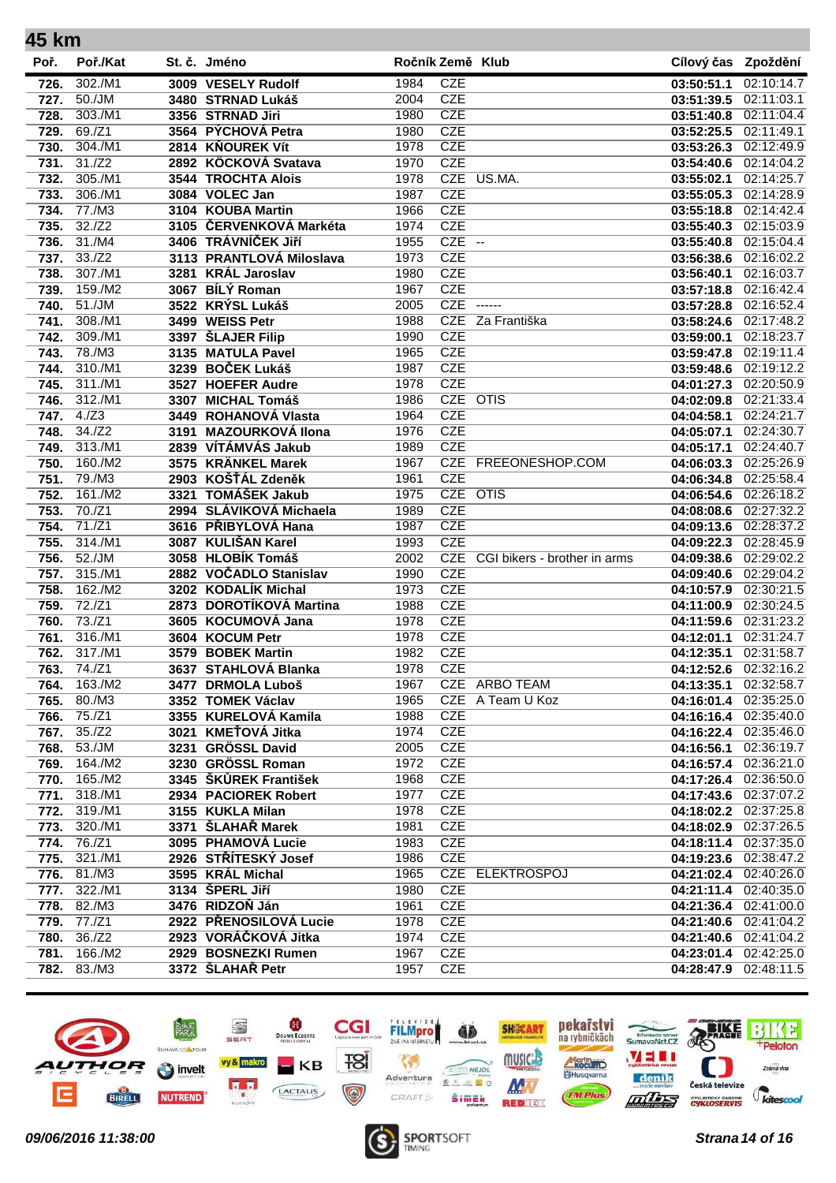| 45 km |          |                          |                  |            |                                  |                       |                       |
|-------|----------|--------------------------|------------------|------------|----------------------------------|-----------------------|-----------------------|
| Poř.  | Poř./Kat | St. č. Jméno             | Ročník Země Klub |            |                                  | Cílový čas Zpoždění   |                       |
| 726.  | 302./M1  | 3009 VESELY Rudolf       | 1984             | <b>CZE</b> |                                  | 03:50:51.1            | 02:10:14.7            |
| 727.  | 50./JM   | 3480 STRNAD Lukáš        | 2004             | <b>CZE</b> |                                  | 03:51:39.5            | 02:11:03.1            |
| 728.  | 303./M1  | 3356 STRNAD Jiri         | 1980             | <b>CZE</b> |                                  | 03:51:40.8            | 02:11:04.4            |
| 729.  | 69./Z1   | 3564 PÝCHOVÁ Petra       | 1980             | <b>CZE</b> |                                  | 03:52:25.5            | 02:11:49.1            |
| 730.  | 304./M1  | 2814 KŇOUREK Vít         | 1978             | <b>CZE</b> |                                  | 03:53:26.3            | 02:12:49.9            |
| 731.  | 31./Z2   | 2892 KÖCKOVÁ Svatava     | 1970             | <b>CZE</b> |                                  | 03:54:40.6            | 02:14:04.2            |
| 732.  | 305./M1  | 3544 TROCHTA Alois       | 1978             |            | CZE US.MA.                       | 03:55:02.1            | 02:14:25.7            |
| 733.  | 306./M1  | 3084 VOLEC Jan           | 1987             | <b>CZE</b> |                                  | 03:55:05.3            | 02:14:28.9            |
| 734.  | 77./M3   | 3104 KOUBA Martin        | 1966             | <b>CZE</b> |                                  | 03:55:18.8            | 02:14:42.4            |
| 735.  | 32./Z2   | 3105 ČERVENKOVÁ Markéta  | 1974             | <b>CZE</b> |                                  | 03:55:40.3            | 02:15:03.9            |
| 736.  | 31./MA   | 3406 TRÁVNÍČEK JIří      | 1955             | $CZE$ --   |                                  | 03:55:40.8            | 02:15:04.4            |
| 737.  | 33.7Z2   | 3113 PRANTLOVÁ Miloslava | 1973             | <b>CZE</b> |                                  | 03:56:38.6            | 02:16:02.2            |
| 738.  | 307./M1  | 3281 KRÁL Jaroslav       | 1980             | <b>CZE</b> |                                  | 03:56:40.1            | 02:16:03.7            |
| 739.  | 159./M2  | 3067 BÍLÝ Roman          | 1967             | <b>CZE</b> |                                  | 03:57:18.8            | 02:16:42.4            |
| 740.  | 51./JM   | 3522 KRÝSL Lukáš         | 2005             | CZE        | $--- -$                          | 03:57:28.8            | 02:16:52.4            |
| 741.  | 308./M1  | 3499 WEISS Petr          | 1988             | CZE        | Za Františka                     | 03:58:24.6            | 02:17:48.2            |
| 742.  | 309./M1  | 3397 ŠLAJER Filip        | 1990             | <b>CZE</b> |                                  | 03:59:00.1            | 02:18:23.7            |
| 743.  | 78./M3   | 3135 MATULA Pavel        | 1965             | <b>CZE</b> |                                  | 03:59:47.8            | 02:19:11.4            |
| 744.  | 310./M1  | 3239 BOČEK Lukáš         | 1987             | <b>CZE</b> |                                  | 03:59:48.6            | 02:19:12.2            |
| 745.  | 311./M1  | 3527 HOEFER Audre        | 1978             | <b>CZE</b> |                                  | 04:01:27.3            | 02:20:50.9            |
| 746.  | 312./M1  | 3307 MICHAL Tomáš        | 1986             | CZE OTIS   |                                  | 04:02:09.8            | 02:21:33.4            |
| 747.  | 4./Z3    | 3449 ROHANOVÁ Vlasta     | 1964             | <b>CZE</b> |                                  | 04:04:58.1            | 02:24:21.7            |
| 748.  | 34./Z2   | 3191 MAZOURKOVÁ Ilona    | 1976             | <b>CZE</b> |                                  | 04:05:07.1            | 02:24:30.7            |
| 749.  | 313./M1  | 2839 VÍTÁMVÁS Jakub      | 1989             | <b>CZE</b> |                                  | 04:05:17.1            | 02:24:40.7            |
| 750.  | 160./M2  | 3575 KRÄNKEL Marek       | 1967             |            | CZE FREEONESHOP.COM              | 04:06:03.3            | 02:25:26.9            |
| 751.  | 79./M3   | 2903 KOŠŤÁL Zdeněk       | 1961             | <b>CZE</b> |                                  | 04:06:34.8            | 02:25:58.4            |
| 752.  | 161./M2  | 3321 TOMÁŠEK Jakub       | 1975             | CZE OTIS   |                                  | 04:06:54.6            | 02:26:18.2            |
| 753.  | 70./Z1   | 2994 SLÁVIKOVÁ Michaela  | 1989             | <b>CZE</b> |                                  | 04:08:08.6            | 02:27:32.2            |
| 754.  | 71./Z1   | 3616 PŘIBYLOVÁ Hana      | 1987             | <b>CZE</b> |                                  | 04:09:13.6            | 02:28:37.2            |
| 755.  | 314./M1  | 3087 KULIŠAN Karel       | 1993             | <b>CZE</b> |                                  | 04:09:22.3            | 02:28:45.9            |
| 756.  | 52./JM   | 3058 HLOBÍK Tomáš        | 2002             |            | CZE CGI bikers - brother in arms | 04:09:38.6            | 02:29:02.2            |
| 757.  | 315./M1  | 2882 VOČADLO Stanislav   | 1990             | <b>CZE</b> |                                  | 04:09:40.6            | 02:29:04.2            |
| 758.  | 162./M2  | 3202 KODALÍK Michal      | 1973             | <b>CZE</b> |                                  | 04:10:57.9            | 02:30:21.5            |
| 759.  | 72./Z1   | 2873 DOROTÍKOVÁ Martina  | 1988             | <b>CZE</b> |                                  | 04:11:00.9            | 02:30:24.5            |
| 760.  | 73./Z1   | 3605 KOCUMOVÁ Jana       | 1978             | <b>CZE</b> |                                  | 04:11:59.6            | 02:31:23.2            |
| 761.  | 316./M1  | 3604 KOCUM Petr          | 1978             | <b>CZE</b> |                                  | 04:12:01.1            | 02:31:24.7            |
| 762.  | 317./M1  | 3579 BOBEK Martin        | 1982             | <b>CZE</b> |                                  | 04:12:35.1            | 02:31:58.7            |
| 763.  | 74./Z1   | 3637 STAHLOVÁ Blanka     | 1978             | <b>CZE</b> |                                  |                       | 04:12:52.6 02:32:16.2 |
| 764.  | 163./M2  | 3477 DRMOLA Luboš        | 1967             |            | CZE ARBO TEAM                    | 04:13:35.1            | 02:32:58.7            |
| 765.  | 80./M3   | 3352 TOMEK Václav        | 1965             |            | CZE A Team U Koz                 | 04:16:01.4 02:35:25.0 |                       |
| 766.  | 75./Z1   | 3355 KURELOVÁ Kamila     | 1988             | <b>CZE</b> |                                  | 04:16:16.4            | 02:35:40.0            |
| 767.  | 35./Z2   | 3021 KMEŤOVÁ Jitka       | 1974             | <b>CZE</b> |                                  | 04:16:22.4            | 02:35:46.0            |
| 768.  | 53./JM   | 3231 GRÖSSL David        | 2005             | <b>CZE</b> |                                  | 04:16:56.1            | 02:36:19.7            |
| 769.  | 164./M2  | 3230 GRÖSSL Roman        | 1972             | <b>CZE</b> |                                  | 04:16:57.4            | 02:36:21.0            |
| 770.  | 165./M2  | 3345 ŠKŮREK František    | 1968             | <b>CZE</b> |                                  | 04:17:26.4            | 02:36:50.0            |
| 771.  | 318./M1  | 2934 PACIOREK Robert     | 1977             | <b>CZE</b> |                                  | 04:17:43.6 02:37:07.2 |                       |
| 772.  | 319./M1  | 3155 KUKLA Milan         | 1978             | <b>CZE</b> |                                  | 04:18:02.2 02:37:25.8 |                       |
| 773.  | 320./M1  | 3371 ŠLAHAŘ Marek        | 1981             | <b>CZE</b> |                                  | 04:18:02.9 02:37:26.5 |                       |
| 774.  | 76./Z1   | 3095 PHAMOVÁ Lucie       | 1983             | <b>CZE</b> |                                  | 04:18:11.4            | 02:37:35.0            |
| 775.  | 321./M1  | 2926 STŘÍTESKÝ Josef     | 1986             | <b>CZE</b> |                                  | 04:19:23.6            | 02:38:47.2            |
| 776.  | 81./M3   | 3595 KRÁL Michal         | 1965             |            | CZE ELEKTROSPOJ                  |                       | 04:21:02.4 02:40:26.0 |
| 777.  | 322./M1  | 3134 ŠPERL Jiří          | 1980             | <b>CZE</b> |                                  | 04:21:11.4            | 02:40:35.0            |
| 778.  | 82./M3   | 3476 RIDZOŇ Ján          | 1961             | <b>CZE</b> |                                  | 04:21:36.4            | 02:41:00.0            |
| 779.  | 77./Z1   | 2922 PŘENOSILOVÁ Lucie   | 1978             | CZE        |                                  | 04:21:40.6 02:41:04.2 |                       |
| 780.  | 36./Z2   | 2923 VORÁČKOVÁ Jitka     | 1974             | CZE        |                                  | 04:21:40.6 02:41:04.2 |                       |
| 781.  | 166./M2  | 2929 BOSNEZKI Rumen      | 1967             | <b>CZE</b> |                                  | 04:23:01.4 02:42:25.0 |                       |
| 782.  | 83./M3   | 3372 ŠLAHAŘ Petr         | 1957             | <b>CZE</b> |                                  | 04:28:47.9            | 02:48:11.5            |
|       |          |                          |                  |            |                                  |                       |                       |



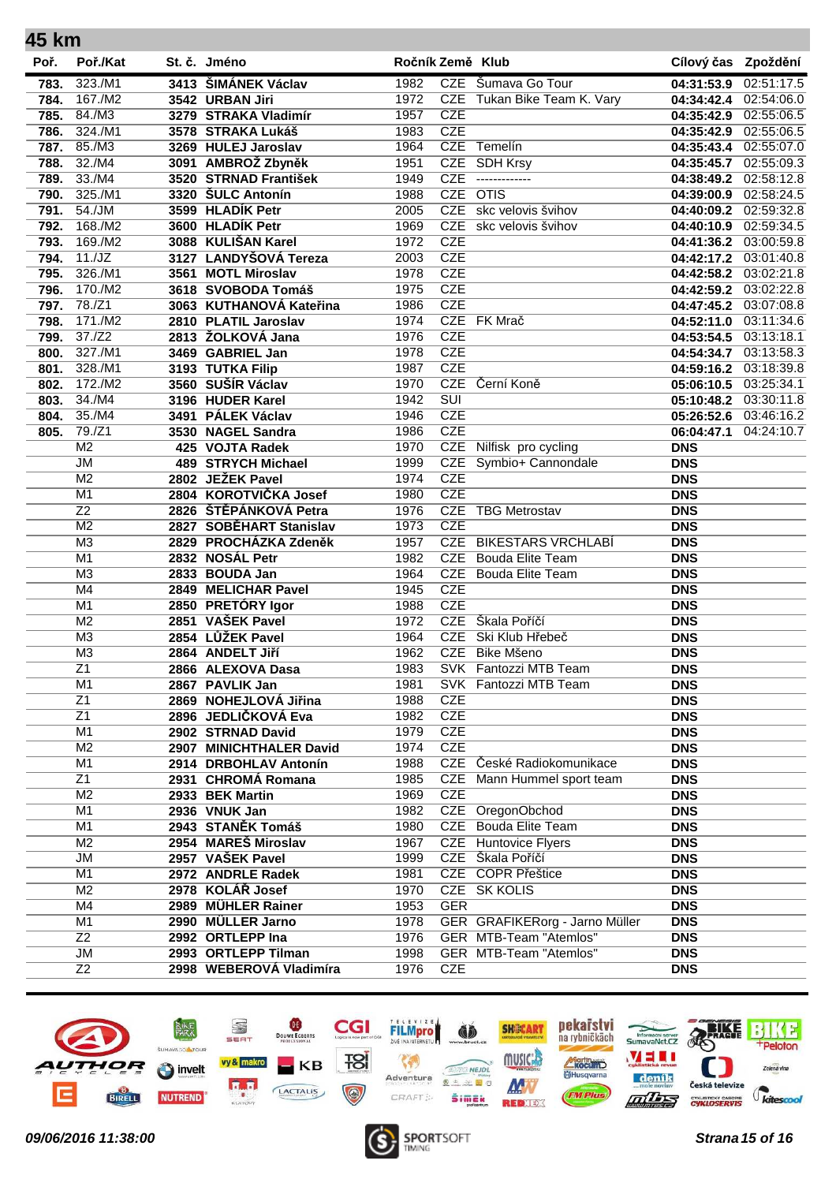| 45 km |                 |                         |                  |                         |                                |                         |            |
|-------|-----------------|-------------------------|------------------|-------------------------|--------------------------------|-------------------------|------------|
| Poř.  | Poř./Kat        | St. č. Jméno            | Ročník Země Klub |                         |                                | Cílový čas Zpoždění     |            |
| 783.  | 323./M1         | 3413 ŠIMÁNEK Václav     | 1982             |                         | CZE Šumava Go Tour             | 04:31:53.9              | 02:51:17.5 |
| 784.  | 167./M2         | 3542 URBAN Jiri         | 1972             |                         | CZE Tukan Bike Team K. Vary    | 04:34:42.4              | 02:54:06.0 |
| 785.  | 84./M3          | 3279 STRAKA Vladimír    | 1957             | <b>CZE</b>              |                                | 04:35:42.9              | 02:55:06.5 |
| 786.  | 324./M1         | 3578 STRAKA Lukáš       | 1983             | <b>CZE</b>              |                                | 04:35:42.9              | 02:55:06.5 |
| 787.  | 85./M3          | 3269 HULEJ Jaroslav     | 1964             | <b>CZE</b>              | Temelín                        | 04:35:43.4              | 02:55:07.0 |
| 788.  | 32./M4          | 3091 AMBROŽ Zbyněk      | 1951             | <b>CZE</b>              | <b>SDH Krsy</b>                | 04:35:45.7              | 02:55:09.3 |
| 789.  | 33./M4          | 3520 STRNAD František   | 1949             | <b>CZE</b>              | -------------                  | 04:38:49.2              | 02:58:12.8 |
| 790.  | 325./M1         | 3320 ŠULC Antonín       | 1988             | <b>CZE</b>              | $\overline{OTIS}$              | 04:39:00.9              | 02:58:24.5 |
| 791.  | 54./JM          | 3599 HLADÍK Petr        | 2005             |                         | CZE skc velovis švihov         | 04:40:09.2              | 02:59:32.8 |
| 792.  | 168./M2         | 3600 HLADÍK Petr        | 1969             |                         | CZE skc velovis švihov         | 04:40:10.9              | 02:59:34.5 |
| 793.  | 169./M2         | 3088 KULIŠAN Karel      | 1972             | <b>CZE</b>              |                                | 04:41:36.2              | 03:00:59.8 |
| 794.  | 11./JZ          | 3127 LANDYŠOVÁ Tereza   | 2003             | <b>CZE</b>              |                                | 04:42:17.2              | 03:01:40.8 |
| 795.  | 326./M1         | 3561 MOTL Miroslav      | 1978             | <b>CZE</b>              |                                | 04:42:58.2              | 03:02:21.8 |
| 796.  | 170./M2         | 3618 SVOBODA Tomáš      | 1975             | <b>CZE</b>              |                                | 04:42:59.2              | 03:02:22.8 |
| 797.  | 78./Z1          | 3063 KUTHANOVÁ Kateřina | 1986             | <b>CZE</b>              |                                | 04:47:45.2              | 03:07:08.8 |
| 798.  | 171./M2         | 2810 PLATIL Jaroslav    | 1974             |                         | CZE FK Mrač                    | $\overline{04:}52:11.0$ | 03:11:34.6 |
| 799.  | 37./Z2          | 2813 ŽOLKOVÁ Jana       | 1976             | <b>CZE</b>              |                                | 04:53:54.5              | 03:13:18.1 |
| 800.  | 327./M1         | 3469 GABRIEL Jan        | 1978             | <b>CZE</b>              |                                | 04:54:34.7              | 03:13:58.3 |
| 801.  | 328./M1         | 3193 TUTKA Filip        | 1987             | <b>CZE</b>              |                                | 04:59:16.2              | 03:18:39.8 |
| 802.  | 172./M2         | 3560 SUŠÍR Václav       | 1970             |                         | CZE Černí Koně                 | 05:06:10.5              | 03:25:34.1 |
| 803.  | 34./M4          | 3196 HUDER Karel        | 1942             | $\overline{\text{SUI}}$ |                                | 05:10:48.2              | 03:30:11.8 |
| 804.  | 35./M4          | 3491 PÁLEK Václav       | 1946             | <b>CZE</b>              |                                | 05:26:52.6              | 03:46:16.2 |
| 805.  | 79./Z1          | 3530 NAGEL Sandra       | 1986             | <b>CZE</b>              |                                | 06:04:47.1              | 04:24:10.7 |
|       | M <sub>2</sub>  | 425 VOJTA Radek         | 1970             | CZE                     | Nilfisk pro cycling            | <b>DNS</b>              |            |
|       | JM              | 489 STRYCH Michael      | 1999             |                         | CZE Symbio+ Cannondale         | <b>DNS</b>              |            |
|       | M <sub>2</sub>  | 2802 JEŽEK Pavel        | 1974             | <b>CZE</b>              |                                | <b>DNS</b>              |            |
|       | M <sub>1</sub>  | 2804 KOROTVIČKA Josef   | 1980             | <b>CZE</b>              |                                | <b>DNS</b>              |            |
|       | $\overline{Z}2$ | 2826 ŠTĚPÁNKOVÁ Petra   | 1976             | <b>CZE</b>              | <b>TBG Metrostav</b>           | <b>DNS</b>              |            |
|       | M <sub>2</sub>  | 2827 SOBĚHART Stanislav | 1973             | <b>CZE</b>              |                                |                         |            |
|       | M <sub>3</sub>  | 2829 PROCHÁZKA Zdeněk   | 1957             |                         | <b>CZE BIKESTARS VRCHLABÍ</b>  | <b>DNS</b>              |            |
|       | M1              |                         | 1982             |                         | <b>CZE</b> Bouda Elite Team    | <b>DNS</b>              |            |
|       | M <sub>3</sub>  | 2832 NOSÁL Petr         |                  |                         | <b>CZE</b> Bouda Elite Team    | <b>DNS</b>              |            |
|       | M4              | 2833 BOUDA Jan          | 1964             | <b>CZE</b>              |                                | <b>DNS</b>              |            |
|       |                 | 2849 MELICHAR Pavel     | 1945             | <b>CZE</b>              |                                | <b>DNS</b>              |            |
|       | M <sub>1</sub>  | 2850 PRETÓRY Igor       | 1988             |                         | CZE Škala Poříčí               | <b>DNS</b>              |            |
|       | M <sub>2</sub>  | 2851 VAŠEK Pavel        | 1972             |                         |                                | <b>DNS</b>              |            |
|       | M <sub>3</sub>  | 2854 LŮŽEK Pavel        | 1964             | <b>CZE</b>              | Ski Klub Hřebeč                | <b>DNS</b>              |            |
|       | M3              | 2864 ANDELT Jiří        | 1962             |                         | CZE Bike Mšeno                 | <b>DNS</b>              |            |
|       | Z1              | 2866 ALEXOVA Dasa       | 1983             |                         | SVK Fantozzi MTB Team          | <b>DNS</b>              |            |
|       | M <sub>1</sub>  | 2867 PAVLIK Jan         | 1981             |                         | SVK Fantozzi MTB Team          | <b>DNS</b>              |            |
|       | $\overline{Z1}$ | 2869 NOHEJLOVÁ Jiřina   | 1988             | <b>CZE</b>              |                                | <b>DNS</b>              |            |
|       | $\overline{Z1}$ | 2896 JEDLIČKOVÁ Eva     | 1982             | <b>CZE</b>              |                                | <b>DNS</b>              |            |
|       | M <sub>1</sub>  | 2902 STRNAD David       | 1979             | <b>CZE</b>              |                                | <b>DNS</b>              |            |
|       | M <sub>2</sub>  | 2907 MINICHTHALER David | 1974             | <b>CZE</b>              |                                | <b>DNS</b>              |            |
|       | M <sub>1</sub>  | 2914 DRBOHLAV Antonín   | 1988             |                         | CZE České Radiokomunikace      | <b>DNS</b>              |            |
|       | $\overline{21}$ | 2931 CHROMÁ Romana      | 1985             | <b>CZE</b>              | Mann Hummel sport team         | <b>DNS</b>              |            |
|       | M <sub>2</sub>  | 2933 BEK Martin         | 1969             | <b>CZE</b>              |                                | <b>DNS</b>              |            |
|       | M1              | 2936 VNUK Jan           | 1982             |                         | CZE OregonObchod               | <b>DNS</b>              |            |
|       | M1              | 2943 STANĚK Tomáš       | 1980             |                         | <b>CZE</b> Bouda Elite Team    | <b>DNS</b>              |            |
|       | M <sub>2</sub>  | 2954 MAREŠ Miroslav     | 1967             |                         | <b>CZE</b> Huntovice Flyers    | <b>DNS</b>              |            |
|       | <b>JM</b>       | 2957 VAŠEK Pavel        | 1999             |                         | CZE Škala Poříčí               | <b>DNS</b>              |            |
|       | M <sub>1</sub>  | 2972 ANDRLE Radek       | 1981             |                         | CZE COPR Přeštice              | <b>DNS</b>              |            |
|       | M <sub>2</sub>  | 2978 KOLÁŘ Josef        | 1970             |                         | CZE SK KOLIS                   | <b>DNS</b>              |            |
|       | M4              | 2989 MÜHLER Rainer      | 1953             | <b>GER</b>              |                                | <b>DNS</b>              |            |
|       | M1              | 2990 MÜLLER Jarno       | 1978             |                         | GER GRAFIKERorg - Jarno Müller | <b>DNS</b>              |            |
|       | $\overline{Z}2$ | 2992 ORTLEPP Ina        | 1976             |                         | GER MTB-Team "Atemlos"         | <b>DNS</b>              |            |
|       | JM              | 2993 ORTLEPP Tilman     | 1998             |                         | GER MTB-Team "Atemlos"         | <b>DNS</b>              |            |
|       | $\overline{Z}2$ | 2998 WEBEROVÁ Vladimíra | 1976             | <b>CZE</b>              |                                | <b>DNS</b>              |            |
|       |                 |                         |                  |                         |                                |                         |            |